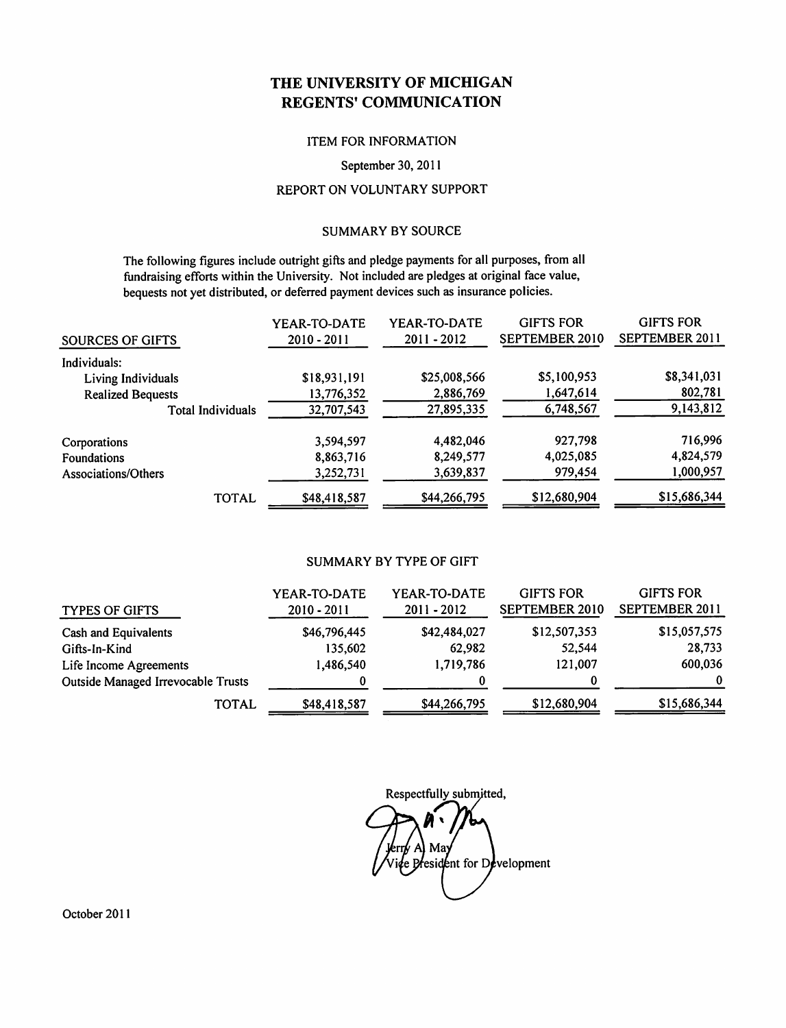### THE UNIVERSITY OF MICHIGAN **REGENTS' COMMUNICATION**

### **ITEM FOR INFORMATION**

#### September 30, 2011

### REPORT ON VOLUNTARY SUPPORT

### **SUMMARY BY SOURCE**

The following figures include outright gifts and pledge payments for all purposes, from all fundraising efforts within the University. Not included are pledges at original face value, bequests not yet distributed, or deferred payment devices such as insurance policies.

| SOURCES OF GIFTS         | YEAR-TO-DATE<br>$2010 - 2011$ | YEAR-TO-DATE<br>$2011 - 2012$ | <b>GIFTS FOR</b><br>SEPTEMBER 2010 | <b>GIFTS FOR</b><br>SEPTEMBER 2011 |
|--------------------------|-------------------------------|-------------------------------|------------------------------------|------------------------------------|
| Individuals:             |                               |                               |                                    |                                    |
| Living Individuals       | \$18,931,191                  | \$25,008,566                  | \$5,100,953                        | \$8,341,031                        |
| <b>Realized Bequests</b> | 13,776,352                    | 2,886,769                     | 1,647,614                          | 802,781                            |
| <b>Total Individuals</b> | 32,707,543                    | 27,895,335                    | 6,748,567                          | 9,143,812                          |
| Corporations             | 3,594,597                     | 4,482,046                     | 927,798                            | 716,996                            |
| <b>Foundations</b>       | 8,863,716                     | 8,249,577                     | 4,025,085                          | 4,824,579                          |
| Associations/Others      | 3,252,731                     | 3,639,837                     | 979,454                            | 1,000,957                          |
| <b>TOTAL</b>             | \$48,418,587                  | \$44,266,795                  | \$12,680,904                       | \$15,686,344                       |

### **SUMMARY BY TYPE OF GIFT**

| <b>TYPES OF GIFTS</b>                     | YEAR-TO-DATE<br>$2010 - 2011$ | YEAR-TO-DATE<br>$2011 - 2012$ | <b>GIFTS FOR</b><br>SEPTEMBER 2010 | <b>GIFTS FOR</b><br>SEPTEMBER 2011 |
|-------------------------------------------|-------------------------------|-------------------------------|------------------------------------|------------------------------------|
| Cash and Equivalents                      | \$46,796,445                  | \$42,484,027                  | \$12,507,353                       | \$15,057,575                       |
| Gifts-In-Kind                             | 135,602                       | 62,982                        | 52,544                             | 28,733                             |
| Life Income Agreements                    | 1,486,540                     | 1,719,786                     | 121,007                            | 600,036                            |
| <b>Outside Managed Irrevocable Trusts</b> |                               |                               | 0                                  | $\bf{0}$                           |
| <b>TOTAL</b>                              | \$48,418,587                  | \$44,266,795                  | \$12,680,904                       | \$15,686,344                       |

Respectfully submitted,

May e President for Development

October 2011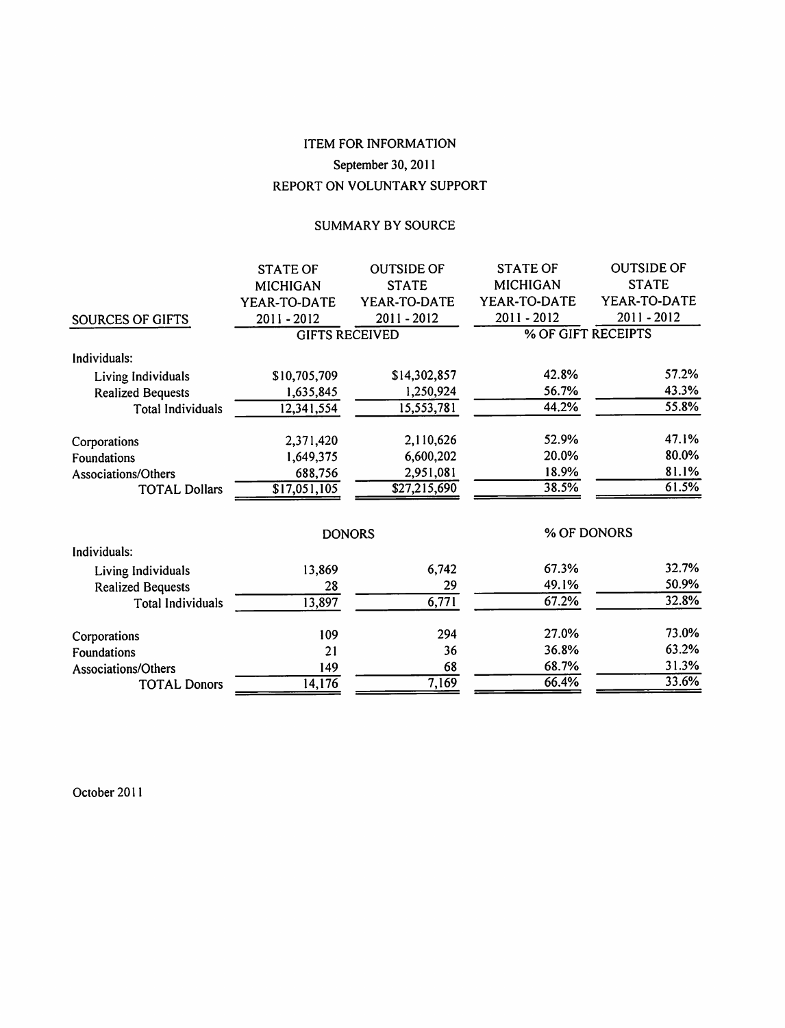# **ITEM FOR INFORMATION** September 30, 2011 REPORT ON VOLUNTARY SUPPORT

### SUMMARY BY SOURCE

|                          | <b>STATE OF</b>       | <b>OUTSIDE OF</b>        | <b>STATE OF</b>    | <b>OUTSIDE OF</b> |
|--------------------------|-----------------------|--------------------------|--------------------|-------------------|
|                          | <b>MICHIGAN</b>       | <b>STATE</b>             | <b>MICHIGAN</b>    | <b>STATE</b>      |
|                          | YEAR-TO-DATE          | YEAR-TO-DATE             | YEAR-TO-DATE       | YEAR-TO-DATE      |
| <b>SOURCES OF GIFTS</b>  | 2011-2012             | 2011-2012                | 2011-2012          | 2011-2012         |
|                          | <b>GIFTS RECEIVED</b> |                          | % OF GIFT RECEIPTS |                   |
| Individuals:             |                       |                          |                    |                   |
| Living Individuals       | \$10,705,709          | \$14,302,857             | 42.8%              | 57.2%             |
| <b>Realized Bequests</b> | 1,635,845             | 1,250,924                | 56.7%              | 43.3%             |
| <b>Total Individuals</b> | 12,341,554            | 15,553,781               | 44.2%              | 55.8%             |
| Corporations             | 2,371,420             | 2,110,626                | 52.9%              | 47.1%             |
| Foundations              | 1,649,375             | 6,600,202                | 20.0%              | 80.0%             |
| Associations/Others      | 688,756               | 2,951,081                | 18.9%              | 81.1%             |
| <b>TOTAL Dollars</b>     | \$17,051,105          | $\overline{$27,215,690}$ | 38.5%              | 61.5%             |
|                          |                       | <b>DONORS</b>            |                    | % OF DONORS       |
| Individuals:             |                       |                          |                    |                   |
| Living Individuals       | 13,869                | 6,742                    | 67.3%              | 32.7%             |
| <b>Realized Bequests</b> | 28                    | 29                       | 49.1%              | 50.9%             |
| <b>Total Individuals</b> | 13,897                | 6,771                    | 67.2%              | 32.8%             |
| Corporations             | 109                   | 294                      | 27.0%              | 73.0%             |
| Foundations              | 21                    | 36                       | 36.8%              | 63.2%             |
| Associations/Others      | 149                   | 68                       | 68.7%              | 31.3%             |
| <b>TOTAL Donors</b>      | 14,176                | 7,169                    | 66.4%              | 33.6%             |
|                          |                       |                          |                    |                   |

October 2011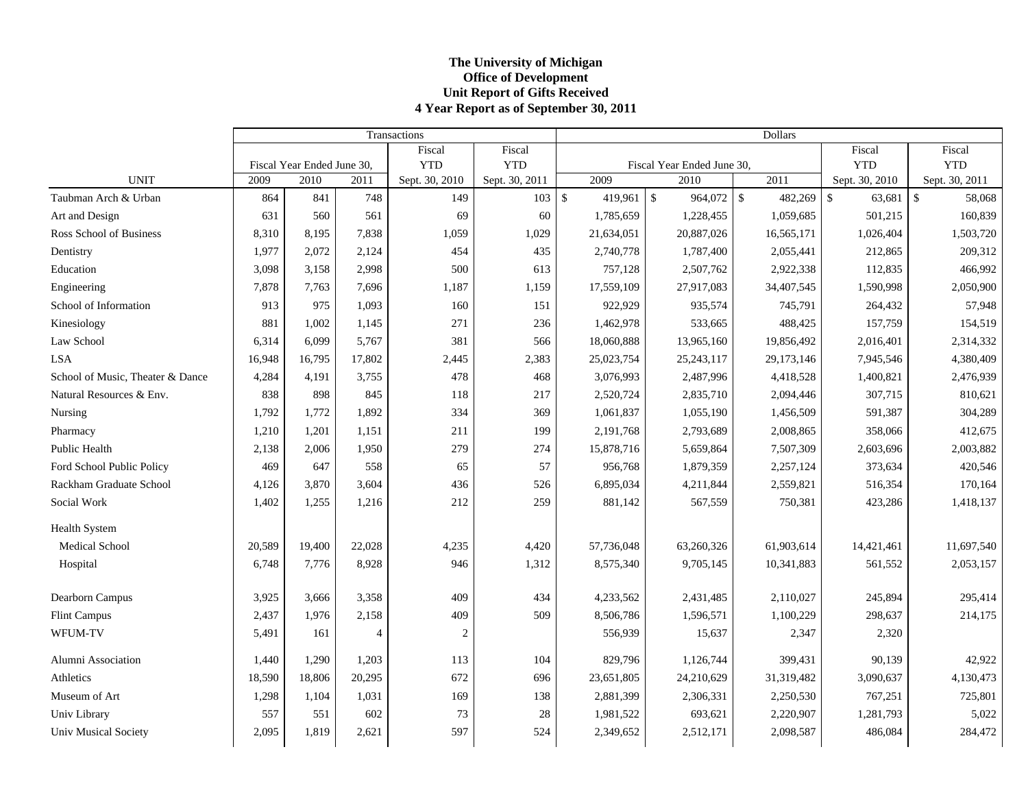### **The Universit y of Michi gan Office of Development Unit Report of Gifts Received 4 Year Report as of September 30, 2011**

|                                  |        |                            |                | Transactions   |                | Dollars       |            |                            |  |                   |                         |                |  |
|----------------------------------|--------|----------------------------|----------------|----------------|----------------|---------------|------------|----------------------------|--|-------------------|-------------------------|----------------|--|
|                                  |        |                            |                | Fiscal         | Fiscal         |               |            |                            |  |                   | Fiscal                  | Fiscal         |  |
|                                  |        | Fiscal Year Ended June 30, |                | <b>YTD</b>     | <b>YTD</b>     |               |            | Fiscal Year Ended June 30, |  |                   | <b>YTD</b>              | <b>YTD</b>     |  |
| <b>UNIT</b>                      | 2009   | 2010                       | 2011           | Sept. 30, 2010 | Sept. 30, 2011 |               | 2009       | 2010                       |  | $\overline{2011}$ | Sept. 30, 2010          | Sept. 30, 2011 |  |
| Taubman Arch & Urban             | 864    | 841                        | 748            | 149            | 103            | $\mathsf{\$}$ | 419,961    | $\mathcal{S}$              |  | 482,269           | $\mathcal{S}$<br>63,681 | \$<br>58,068   |  |
| Art and Design                   | 631    | 560                        | 561            | 69             | 60             |               | 1,785,659  | 1,228,455                  |  | 1,059,685         | 501,215                 | 160,839        |  |
| Ross School of Business          | 8,310  | 8,195                      | 7,838          | 1,059          | 1,029          |               | 21,634,051 | 20,887,026                 |  | 16,565,171        | 1,026,404               | 1,503,720      |  |
| Dentistry                        | 1,977  | 2,072                      | 2,124          | 454            | 435            |               | 2,740,778  | 1,787,400                  |  | 2,055,441         | 212,865                 | 209,312        |  |
| Education                        | 3,098  | 3,158                      | 2,998          | 500            | 613            |               | 757,128    | 2,507,762                  |  | 2,922,338         | 112,835                 | 466,992        |  |
| Engineering                      | 7,878  | 7,763                      | 7,696          | 1,187          | 1,159          |               | 17,559,109 | 27,917,083                 |  | 34,407,545        | 1,590,998               | 2,050,900      |  |
| School of Information            | 913    | 975                        | 1.093          | 160            | 151            |               | 922,929    | 935,574                    |  | 745,791           | 264,432                 | 57,948         |  |
| Kinesiology                      | 881    | 1,002                      | 1,145          | 271            | 236            |               | 1,462,978  | 533,665                    |  | 488,425           | 157,759                 | 154,519        |  |
| Law School                       | 6,314  | 6,099                      | 5,767          | 381            | 566            |               | 18,060,888 | 13,965,160                 |  | 19,856,492        | 2,016,401               | 2,314,332      |  |
| <b>LSA</b>                       | 16,948 | 16,795                     | 17,802         | 2,445          | 2,383          |               | 25,023,754 | 25, 243, 117               |  | 29,173,146        | 7,945,546               | 4,380,409      |  |
| School of Music, Theater & Dance | 4,284  | 4,191                      | 3,755          | 478            | 468            |               | 3,076,993  | 2,487,996                  |  | 4,418,528         | 1,400,821               | 2,476,939      |  |
| Natural Resources & Env.         | 838    | 898                        | 845            | 118            | 217            |               | 2,520,724  | 2,835,710                  |  | 2,094,446         | 307,715                 | 810,621        |  |
| Nursing                          | 1,792  | 1,772                      | 1,892          | 334            | 369            |               | 1,061,837  | 1,055,190                  |  | 1,456,509         | 591,387                 | 304,289        |  |
| Pharmacy                         | 1,210  | 1,201                      | 1,151          | 211            | 199            |               | 2,191,768  | 2,793,689                  |  | 2,008,865         | 358,066                 | 412,675        |  |
| Public Health                    | 2,138  | 2,006                      | 1,950          | 279            | 274            |               | 15,878,716 | 5,659,864                  |  | 7,507,309         | 2,603,696               | 2,003,882      |  |
| Ford School Public Policy        | 469    | 647                        | 558            | 65             | 57             |               | 956,768    | 1,879,359                  |  | 2,257,124         | 373,634                 | 420,546        |  |
| Rackham Graduate School          | 4,126  | 3,870                      | 3,604          | 436            | 526            |               | 6,895,034  | 4,211,844                  |  | 2,559,821         | 516,354                 | 170,164        |  |
| Social Work                      | 1,402  | 1,255                      | 1,216          | 212            | 259            |               | 881,142    | 567,559                    |  | 750,381           | 423,286                 | 1,418,137      |  |
| Health System                    |        |                            |                |                |                |               |            |                            |  |                   |                         |                |  |
| <b>Medical School</b>            | 20,589 | 19,400                     | 22,028         | 4,235          | 4,420          |               | 57,736,048 | 63,260,326                 |  | 61,903,614        | 14,421,461              | 11,697,540     |  |
| Hospital                         | 6,748  | 7.776                      | 8,928          | 946            | 1,312          |               | 8,575,340  | 9,705,145                  |  | 10,341,883        | 561,552                 | 2,053,157      |  |
| Dearborn Campus                  | 3,925  | 3,666                      | 3,358          | 409            | 434            |               | 4,233,562  | 2,431,485                  |  | 2,110,027         | 245,894                 | 295.414        |  |
| <b>Flint Campus</b>              | 2,437  | 1,976                      | 2,158          | 409            | 509            |               | 8,506,786  | 1,596,571                  |  | 1,100,229         | 298,637                 | 214,175        |  |
| WFUM-TV                          | 5,491  | 161                        | $\overline{4}$ | 2              |                |               | 556,939    | 15,637                     |  | 2,347             | 2,320                   |                |  |
| Alumni Association               | 1,440  | 1,290                      | 1,203          | 113            | 104            |               | 829,796    | 1,126,744                  |  | 399,431           | 90,139                  | 42,922         |  |
| Athletics                        | 18,590 | 18,806                     | 20,295         | 672            | 696            |               | 23,651,805 | 24,210,629                 |  | 31,319,482        | 3,090,637               | 4,130,473      |  |
| Museum of Art                    | 1,298  | 1,104                      | 1,031          | 169            | 138            |               | 2,881,399  | 2,306,331                  |  | 2,250,530         | 767,251                 | 725,801        |  |
| Univ Library                     | 557    | 551                        | 602            | 73             | 28             |               | 1,981,522  | 693,621                    |  | 2,220,907         | 1,281,793               | 5,022          |  |
| <b>Univ Musical Society</b>      | 2,095  | 1,819                      | 2,621          | 597            | 524            |               | 2,349,652  | 2,512,171                  |  | 2,098,587         | 486,084                 | 284,472        |  |
|                                  |        |                            |                |                |                |               |            |                            |  |                   |                         |                |  |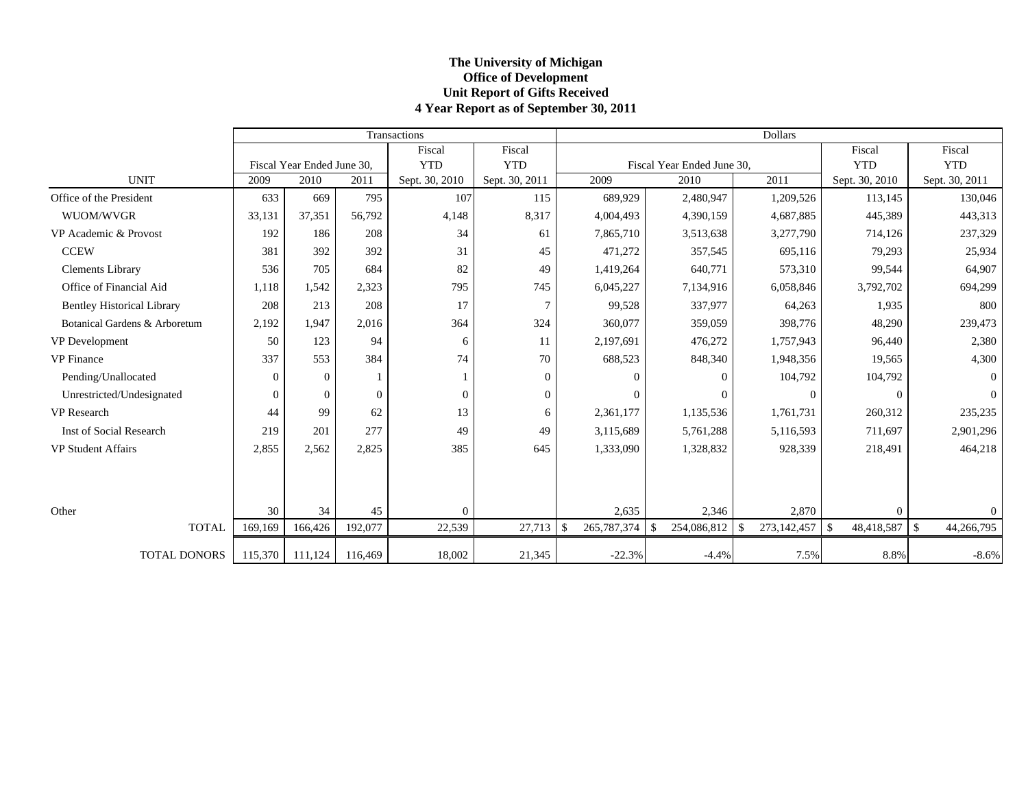### **The Universit y of Michi gan Office of Development Unit Report of Gifts Received 4 Year Report as of September 30, 2011**

|                                   |              |                            |                | Transactions   |                | <b>Dollars</b> |              |                              |               |                |                   |                            |  |
|-----------------------------------|--------------|----------------------------|----------------|----------------|----------------|----------------|--------------|------------------------------|---------------|----------------|-------------------|----------------------------|--|
|                                   |              |                            |                | Fiscal         | Fiscal         |                |              |                              |               |                | Fiscal            | Fiscal                     |  |
|                                   |              | Fiscal Year Ended June 30, |                | <b>YTD</b>     | <b>YTD</b>     |                |              | Fiscal Year Ended June 30,   |               |                | <b>YTD</b>        | <b>YTD</b>                 |  |
| <b>UNIT</b>                       | 2009         | 2010                       | 2011           | Sept. 30, 2010 | Sept. 30, 2011 |                | 2009         | 2010                         |               | 2011           | Sept. 30, 2010    | Sept. 30, 2011             |  |
| Office of the President           | 633          | 669                        | 795            | 107            | 115            |                | 689,929      | 2,480,947                    |               | 1,209,526      | 113,145           | 130,046                    |  |
| WUOM/WVGR                         | 33,131       | 37.351                     | 56,792         | 4,148          | 8,317          |                | 4,004,493    | 4,390,159                    |               | 4,687,885      | 445,389           | 443,313                    |  |
| VP Academic & Provost             | 192          | 186                        | 208            | 34             | 61             |                | 7,865,710    | 3,513,638                    |               | 3,277,790      | 714,126           | 237,329                    |  |
| <b>CCEW</b>                       | 381          | 392                        | 392            | 31             | 45             |                | 471,272      | 357,545                      |               | 695,116        | 79,293            | 25,934                     |  |
| <b>Clements Library</b>           | 536          | 705                        | 684            | 82             | 49             |                | 1,419,264    | 640,771                      |               | 573,310        | 99,544            | 64,907                     |  |
| Office of Financial Aid           | 1,118        | 1,542                      | 2,323          | 795            | 745            |                | 6,045,227    | 7,134,916                    |               | 6,058,846      | 3,792,702         | 694,299                    |  |
| <b>Bentley Historical Library</b> | 208          | 213                        | 208            | 17             | $\tau$         |                | 99,528       | 337,977                      |               | 64,263         | 1,935             | 800                        |  |
| Botanical Gardens & Arboretum     | 2,192        | 1.947                      | 2,016          | 364            | 324            |                | 360,077      | 359,059                      |               | 398,776        | 48,290            | 239,473                    |  |
| VP Development                    | 50           | 123                        | 94             | 6              | 11             |                | 2,197,691    | 476,272                      |               | 1,757,943      | 96,440            | 2,380                      |  |
| <b>VP</b> Finance                 | 337          | 553                        | 384            | 74             | 70             |                | 688,523      | 848,340                      |               | 1,948,356      | 19,565            | 4,300                      |  |
| Pending/Unallocated               | $\mathbf{0}$ | $\overline{0}$             | $\mathbf{1}$   |                | $\overline{0}$ |                | $\Omega$     | $\mathbf{0}$                 |               | 104,792        | 104,792           | $\overline{0}$             |  |
| Unrestricted/Undesignated         | $\mathbf{0}$ | $\overline{0}$             | $\overline{0}$ | $\Omega$       | $\overline{0}$ |                | $\mathbf{0}$ | $\mathbf{0}$                 |               | $\overline{0}$ | $\Omega$          | $\mathbf{0}$               |  |
| <b>VP</b> Research                | 44           | 99                         | 62             | 13             | 6              |                | 2,361,177    | 1,135,536                    |               | 1,761,731      | 260,312           | 235,235                    |  |
| <b>Inst of Social Research</b>    | 219          | 201                        | 277            | 49             | 49             |                | 3,115,689    | 5,761,288                    |               | 5,116,593      | 711,697           | 2,901,296                  |  |
| <b>VP Student Affairs</b>         | 2,855        | 2.562                      | 2,825          | 385            | 645            |                | 1,333,090    | 1,328,832                    |               | 928,339        | 218,491           | 464,218                    |  |
|                                   |              |                            |                |                |                |                |              |                              |               |                |                   |                            |  |
|                                   |              |                            |                |                |                |                |              |                              |               |                |                   |                            |  |
| Other                             | 30           | 34                         | 45             | $\Omega$       |                |                | 2,635        | 2,346                        |               | 2,870          | $\Omega$          | $\overline{0}$             |  |
| <b>TOTAL</b>                      | 169,169      | 166,426                    | 192,077        | 22,539         | 27,713         | \$             | 265,787,374  | $\mathcal{S}$<br>254,086,812 | $\mathcal{S}$ | 273,142,457    | 48,418,587<br>-\$ | $\mathbb{S}$<br>44,266,795 |  |
|                                   |              |                            |                |                |                |                |              |                              |               |                |                   |                            |  |
| <b>TOTAL DONORS</b>               | 115,370      | 111,124                    | 116,469        | 18,002         | 21,345         |                | $-22.3%$     | $-4.4%$                      |               | 7.5%           | 8.8%              | $-8.6%$                    |  |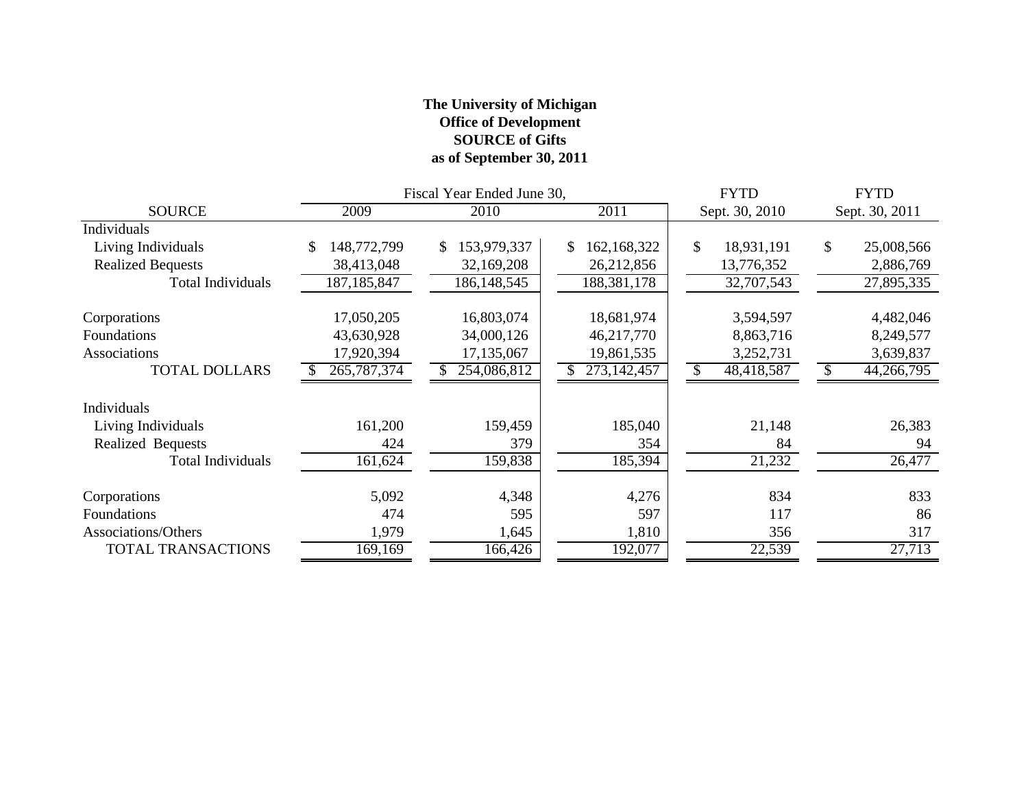### **The University of Michigan Office of Development SOURCE of Gifts as of September 30, 2011**

|                          |                   | Fiscal Year Ended June 30, | <b>FYTD</b>         | <b>FYTD</b>      |                  |  |
|--------------------------|-------------------|----------------------------|---------------------|------------------|------------------|--|
| <b>SOURCE</b>            | 2009              | 2010                       | 2011                | Sept. 30, 2010   | Sept. 30, 2011   |  |
| Individuals              |                   |                            |                     |                  |                  |  |
| Living Individuals       | 148,772,799<br>\$ | 153,979,337<br>\$.         | 162, 168, 322<br>S. | \$<br>18,931,191 | \$<br>25,008,566 |  |
| <b>Realized Bequests</b> | 38,413,048        | 32,169,208                 | 26,212,856          | 13,776,352       | 2,886,769        |  |
| <b>Total Individuals</b> | 187, 185, 847     | 186, 148, 545              | 188,381,178         | 32,707,543       | 27,895,335       |  |
| Corporations             | 17,050,205        | 16,803,074                 | 18,681,974          | 3,594,597        | 4,482,046        |  |
| Foundations              | 43,630,928        | 34,000,126                 | 46,217,770          | 8,863,716        | 8,249,577        |  |
| Associations             | 17,920,394        | 17,135,067                 | 19,861,535          | 3,252,731        | 3,639,837        |  |
| <b>TOTAL DOLLARS</b>     | 265,787,374       | 254,086,812                | 273, 142, 457       | 48,418,587       | 44,266,795       |  |
| Individuals              |                   |                            |                     |                  |                  |  |
| Living Individuals       | 161,200           | 159,459                    | 185,040             | 21,148           | 26,383           |  |
| Realized Bequests        | 424               | 379                        | 354                 | 84               | 94               |  |
| <b>Total Individuals</b> | 161,624           | 159,838                    | 185,394             | 21,232           | 26,477           |  |
| Corporations             | 5,092             | 4,348                      | 4,276               | 834              | 833              |  |
| Foundations              | 474               | 595                        | 597                 | 117              | 86               |  |
| Associations/Others      | 1,979             | 1,645                      | 1,810               | 356              | 317              |  |
| TOTAL TRANSACTIONS       | 169,169           | 166,426                    | 192,077             | 22,539           | 27,713           |  |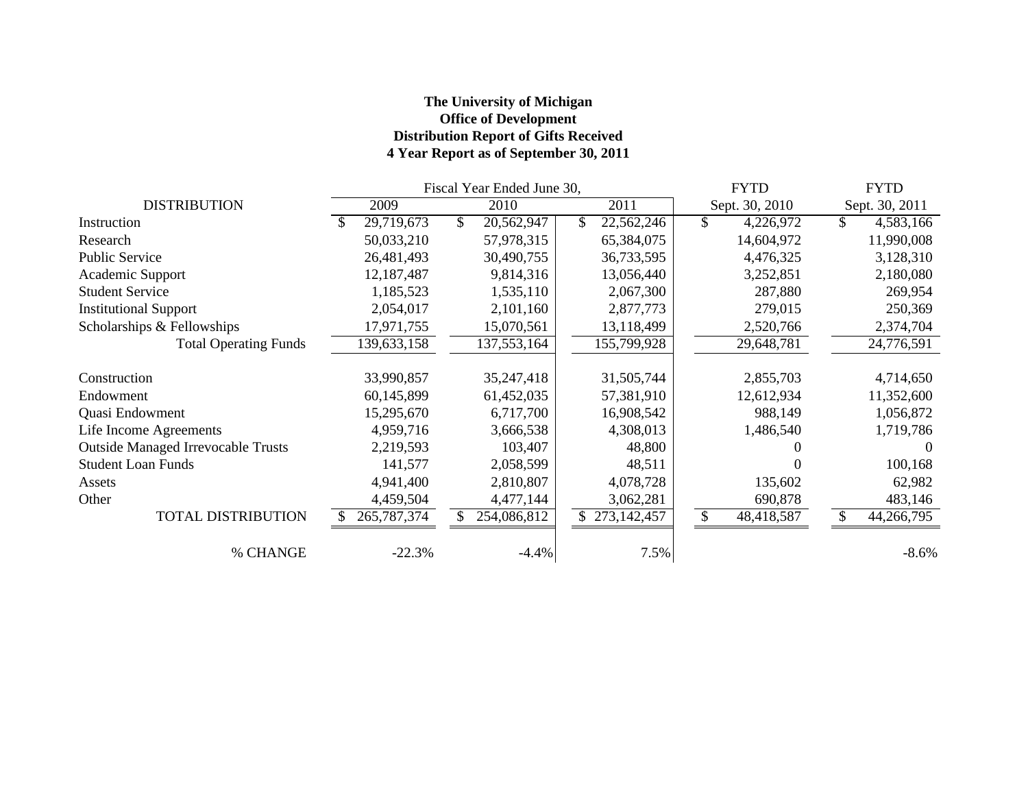### **The University of Michigan Office of Development Distribution Report of Gifts Received 4 Year Report as of September 30, 2011**

|                                           | Fiscal Year Ended June 30, |               |     |             |  |             |     | <b>FYTD</b>    | <b>FYTD</b> |                  |  |
|-------------------------------------------|----------------------------|---------------|-----|-------------|--|-------------|-----|----------------|-------------|------------------|--|
| <b>DISTRIBUTION</b>                       |                            | 2009          |     | 2010        |  | 2011        |     | Sept. 30, 2010 |             | Sept. 30, 2011   |  |
| Instruction                               |                            | 29,719,673    | \$. | 20,562,947  |  | 22,562,246  | \$  | 4,226,972      | \$          | 4,583,166        |  |
| Research                                  |                            | 50,033,210    |     | 57,978,315  |  | 65,384,075  |     | 14,604,972     |             | 11,990,008       |  |
| <b>Public Service</b>                     |                            | 26,481,493    |     | 30,490,755  |  | 36,733,595  |     | 4,476,325      |             | 3,128,310        |  |
| Academic Support                          |                            | 12,187,487    |     | 9,814,316   |  | 13,056,440  |     | 3,252,851      |             | 2,180,080        |  |
| <b>Student Service</b>                    |                            | 1,185,523     |     | 1,535,110   |  | 2,067,300   |     | 287,880        |             | 269,954          |  |
| <b>Institutional Support</b>              |                            | 2,054,017     |     | 2,101,160   |  | 2,877,773   |     | 279,015        |             | 250,369          |  |
| Scholarships & Fellowships                |                            | 17,971,755    |     | 15,070,561  |  | 13,118,499  |     | 2,520,766      |             | 2,374,704        |  |
| <b>Total Operating Funds</b>              |                            | 139,633,158   |     | 137,553,164 |  | 155,799,928 |     | 29,648,781     |             | 24,776,591       |  |
| Construction                              |                            | 33,990,857    |     | 35,247,418  |  | 31,505,744  |     | 2,855,703      |             | 4,714,650        |  |
| Endowment                                 |                            | 60,145,899    |     | 61,452,035  |  | 57,381,910  |     | 12,612,934     |             | 11,352,600       |  |
| Quasi Endowment                           |                            | 15,295,670    |     | 6,717,700   |  | 16,908,542  |     | 988,149        |             | 1,056,872        |  |
| Life Income Agreements                    |                            | 4,959,716     |     | 3,666,538   |  | 4,308,013   |     | 1,486,540      |             | 1,719,786        |  |
| <b>Outside Managed Irrevocable Trusts</b> |                            | 2,219,593     |     | 103,407     |  | 48,800      |     |                |             | $\left( \right)$ |  |
| <b>Student Loan Funds</b>                 |                            | 141,577       |     | 2,058,599   |  | 48,511      |     |                |             | 100,168          |  |
| Assets                                    |                            | 4,941,400     |     | 2,810,807   |  | 4,078,728   |     | 135,602        |             | 62,982           |  |
| Other                                     |                            | 4,459,504     |     | 4,477,144   |  | 3,062,281   |     | 690,878        |             | 483,146          |  |
| <b>TOTAL DISTRIBUTION</b>                 |                            | 265, 787, 374 |     | 254,086,812 |  | 273,142,457 | \$. | 48,418,587     | \$          | 44,266,795       |  |
| % CHANGE                                  |                            | $-22.3%$      |     | $-4.4%$     |  | 7.5%        |     |                |             | $-8.6\%$         |  |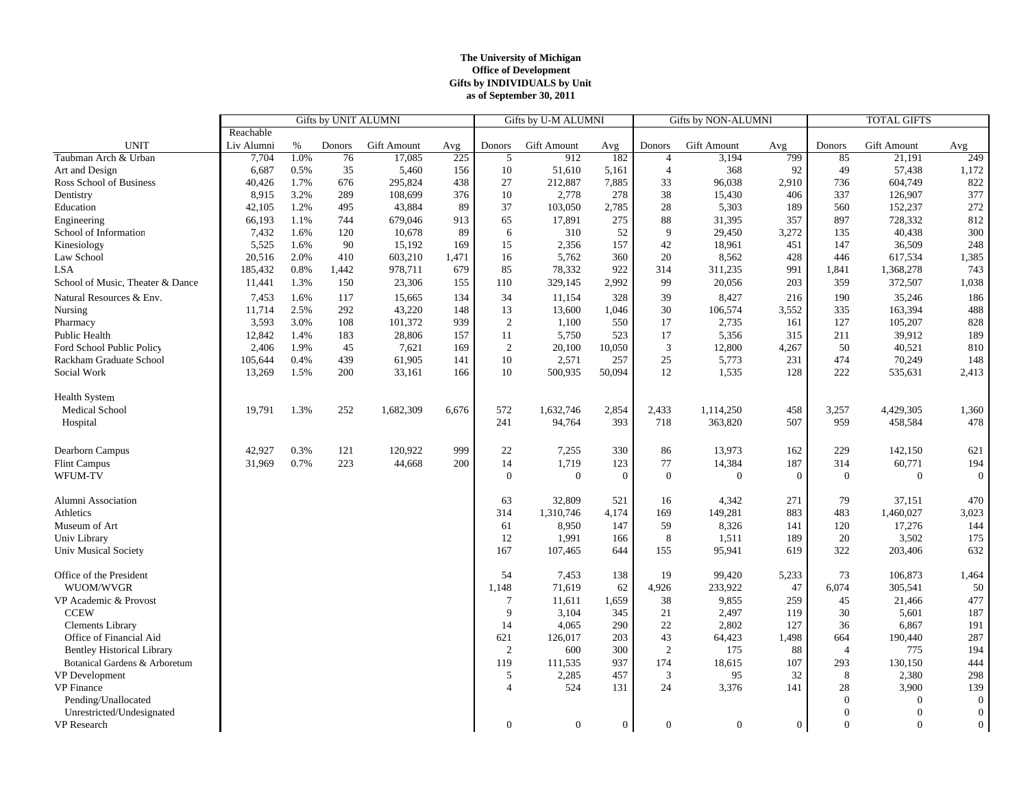#### **The University of Michigan Office of Development Gifts by INDIVIDUALS by Unit as of September 30, 2011**

|                                   | Gifts by UNIT ALUMNI |      |        |             |       | Gifts by U-M ALUMNI |              | Gifts by NON-ALUMNI |                  |              | <b>TOTAL GIFTS</b> |                |                    |                  |
|-----------------------------------|----------------------|------|--------|-------------|-------|---------------------|--------------|---------------------|------------------|--------------|--------------------|----------------|--------------------|------------------|
|                                   | Reachable            |      |        |             |       |                     |              |                     |                  |              |                    |                |                    |                  |
| <b>UNIT</b>                       | Liv Alumni           | $\%$ | Donors | Gift Amount | Avg   | Donors              | Gift Amount  | Avg                 | Donors           | Gift Amount  | Avg                | Donors         | <b>Gift Amount</b> | Avg              |
| Taubman Arch & Urban              | 7,704                | 1.0% | 76     | 17,085      | 225   | 5                   | 912          | 182                 | $\overline{4}$   | 3,194        | 799                | 85             | 21,191             | 249              |
| Art and Design                    | 6,687                | 0.5% | 35     | 5,460       | 156   | 10                  | 51,610       | 5,161               | $\overline{4}$   | 368          | 92                 | 49             | 57,438             | 1,172            |
| Ross School of Business           | 40,426               | 1.7% | 676    | 295,824     | 438   | 27                  | 212,887      | 7,885               | 33               | 96,038       | 2,910              | 736            | 604,749            | 822              |
| Dentistry                         | 8,915                | 3.2% | 289    | 108,699     | 376   | 10                  | 2,778        | 278                 | 38               | 15,430       | 406                | 337            | 126,907            | 377              |
| Education                         | 42,105               | 1.2% | 495    | 43,884      | 89    | 37                  | 103,050      | 2,785               | 28               | 5,303        | 189                | 560            | 152,237            | 272              |
| Engineering                       | 66,193               | 1.1% | 744    | 679,046     | 913   | 65                  | 17,891       | 275                 | 88               | 31,395       | 357                | 897            | 728,332            | 812              |
| School of Information             | 7,432                | 1.6% | 120    | 10,678      | 89    | 6                   | 310          | 52                  | 9                | 29,450       | 3,272              | 135            | 40,438             | 300              |
| Kinesiology                       | 5,525                | 1.6% | 90     | 15,192      | 169   | 15                  | 2,356        | 157                 | 42               | 18,961       | 451                | 147            | 36,509             | 248              |
| Law School                        | 20,516               | 2.0% | 410    | 603,210     | 1,471 | 16                  | 5,762        | 360                 | 20               | 8,562        | 428                | 446            | 617,534            | 1,385            |
| <b>LSA</b>                        | 185,432              | 0.8% | 1,442  | 978,711     | 679   | 85                  | 78,332       | 922                 | 314              | 311,235      | 991                | 1,841          | 1,368,278          | 743              |
| School of Music, Theater & Dance  | 11,441               | 1.3% | 150    | 23,306      | 155   | 110                 | 329,145      | 2,992               | 99               | 20,056       | 203                | 359            | 372,507            | 1,038            |
| Natural Resources & Env.          | 7,453                | 1.6% | 117    | 15,665      | 134   | 34                  | 11,154       | 328                 | 39               | 8,427        | 216                | 190            | 35,246             | 186              |
| Nursing                           | 11,714               | 2.5% | 292    | 43,220      | 148   | 13                  | 13,600       | 1,046               | 30               | 106,574      | 3,552              | 335            | 163,394            | 488              |
| Pharmacy                          | 3,593                | 3.0% | 108    | 101,372     | 939   | 2                   | 1,100        | 550                 | 17               | 2,735        | 161                | 127            | 105,207            | 828              |
| Public Health                     | 12,842               | 1.4% | 183    | 28,806      | 157   | 11                  | 5,750        | 523                 | 17               | 5,356        | 315                | 211            | 39,912             | 189              |
| Ford School Public Policy         | 2,406                | 1.9% | 45     | 7,621       | 169   | 2                   | 20,100       | 10,050              | 3                | 12,800       | 4,267              | 50             | 40,521             | 810              |
| Rackham Graduate School           | 105,644              | 0.4% | 439    | 61,905      | 141   | 10                  | 2,571        | 257                 | 25               | 5,773        | 231                | 474            | 70,249             | 148              |
| Social Work                       | 13,269               | 1.5% | 200    | 33,161      | 166   | 10                  | 500,935      | 50,094              | 12               | 1,535        | 128                | 222            | 535,631            | 2,413            |
|                                   |                      |      |        |             |       |                     |              |                     |                  |              |                    |                |                    |                  |
| <b>Health System</b>              |                      |      |        |             |       |                     |              |                     |                  |              |                    |                |                    |                  |
| Medical School                    | 19,791               | 1.3% | 252    | 1,682,309   | 6,676 | 572                 | 1,632,746    | 2,854               | 2,433            | 1,114,250    | 458                | 3,257          | 4,429,305          | 1,360            |
| Hospital                          |                      |      |        |             |       | 241                 | 94,764       | 393                 | 718              | 363,820      | 507                | 959            | 458,584            | 478              |
|                                   |                      |      |        |             |       |                     |              |                     |                  |              |                    |                |                    |                  |
| Dearborn Campus                   | 42,927               | 0.3% | 121    | 120,922     | 999   | 22                  | 7,255        | 330                 | 86               | 13,973       | 162                | 229            | 142,150            | 621              |
| <b>Flint Campus</b>               | 31,969               | 0.7% | 223    | 44,668      | 200   | 14                  | 1,719        | 123                 | 77               | 14,384       | 187                | 314            | 60,771             | 194              |
| WFUM-TV                           |                      |      |        |             |       | $\mathbf{0}$        | $\mathbf{0}$ | $\theta$            | $\mathbf{0}$     | $\mathbf{0}$ | $\mathbf{0}$       | $\theta$       | $\theta$           | $\overline{0}$   |
|                                   |                      |      |        |             |       |                     |              |                     |                  |              |                    |                |                    |                  |
| Alumni Association                |                      |      |        |             |       | 63                  | 32,809       | 521                 | 16               | 4,342        | 271                | 79             | 37,151             | 470              |
| Athletics                         |                      |      |        |             |       | 314                 | 1,310,746    | 4,174               | 169              | 149,281      | 883                | 483            | 1,460,027          | 3,023            |
| Museum of Art                     |                      |      |        |             |       | 61                  | 8,950        | 147                 | 59               | 8,326        | 141                | 120            | 17,276             | 144              |
| Univ Library                      |                      |      |        |             |       | 12                  | 1,991        | 166                 | 8                | 1,511        | 189                | 20             | 3,502              | 175              |
| <b>Univ Musical Society</b>       |                      |      |        |             |       | 167                 | 107,465      | 644                 | 155              | 95,941       | 619                | 322            | 203,406            | 632              |
|                                   |                      |      |        |             |       |                     |              |                     |                  |              |                    |                |                    |                  |
| Office of the President           |                      |      |        |             |       | 54                  | 7,453        | 138                 | 19               | 99,420       | 5,233              | 73             | 106,873            | 1,464            |
| WUOM/WVGR                         |                      |      |        |             |       | 1,148               | 71,619       | 62                  | 4,926            | 233,922      | 47                 | 6,074          | 305,541            | 50               |
| VP Academic & Provost             |                      |      |        |             |       | $\overline{7}$      | 11,611       | 1,659               | 38               | 9,855        | 259                | 45             | 21,466             | 477              |
| <b>CCEW</b>                       |                      |      |        |             |       | 9                   | 3,104        | 345                 | 21               | 2,497        | 119                | 30             | 5,601              | 187              |
| <b>Clements Library</b>           |                      |      |        |             |       | 14                  | 4,065        | 290                 | 22               | 2,802        | 127                | 36             | 6,867              | 191              |
| Office of Financial Aid           |                      |      |        |             |       | 621                 | 126,017      | 203                 | 43               | 64,423       | 1,498              | 664            | 190,440            | 287              |
| <b>Bentley Historical Library</b> |                      |      |        |             |       | 2                   | 600          | 300                 | $\overline{c}$   | 175          | 88                 | $\overline{4}$ | 775                | 194              |
| Botanical Gardens & Arboretum     |                      |      |        |             |       | 119                 | 111,535      | 937                 | 174              | 18,615       | 107                | 293            | 130,150            | 444              |
| VP Development                    |                      |      |        |             |       | 5                   | 2,285        | 457                 | $\mathfrak{Z}$   | 95           | 32                 | 8              | 2,380              | 298              |
| <b>VP</b> Finance                 |                      |      |        |             |       | $\overline{4}$      | 524          | 131                 | 24               | 3,376        | 141                | 28             | 3,900              | 139              |
| Pending/Unallocated               |                      |      |        |             |       |                     |              |                     |                  |              |                    | $\Omega$       | $\bf{0}$           | 0                |
| Unrestricted/Undesignated         |                      |      |        |             |       |                     |              |                     |                  |              |                    | $\Omega$       | $\theta$           | $\boldsymbol{0}$ |
| VP Research                       |                      |      |        |             |       | $\mathbf{0}$        | $\mathbf{0}$ | $\mathbf{0}$        | $\boldsymbol{0}$ | $\mathbf{0}$ | $\overline{0}$     | $\mathbf{0}$   | $\theta$           | $\overline{0}$   |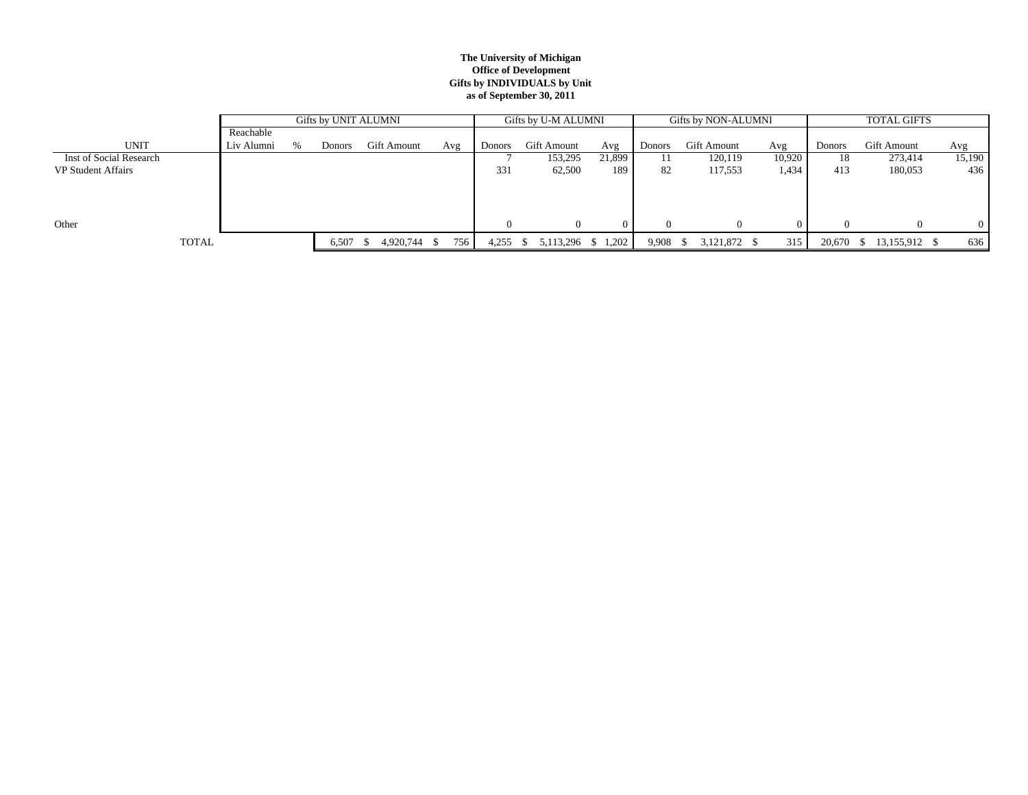#### **The University of Michigan Office of Development Gifts by INDIVIDUALS by Unit as of September 30, 2011**

|                           |            | Gifts by UNIT ALUMNI |        |              |       |               | Gifts by U-M ALUMNI |        |          | Gifts by NON-ALUMNI |        | <b>TOTAL GIFTS</b> |               |        |  |
|---------------------------|------------|----------------------|--------|--------------|-------|---------------|---------------------|--------|----------|---------------------|--------|--------------------|---------------|--------|--|
|                           | Reachable  |                      |        |              |       |               |                     |        |          |                     |        |                    |               |        |  |
| <b>UNIT</b>               | Liv Alumni | $\%$                 | Donors | Gift Amount  | Avg   | <b>Donors</b> | Gift Amount         | Avg    | Donors   | <b>Gift Amount</b>  | Avg    | Donors             | Gift Amount   | Avg    |  |
| Inst of Social Research   |            |                      |        |              |       |               | 153,295             | 21,899 |          | 120,119             | 10.920 | 18                 | 273,414       | 15,190 |  |
| <b>VP Student Affairs</b> |            |                      |        |              |       | 331           | 62,500              | 189    | 82       | 117,553             | 1,434  | 413                | 180,053       | 436    |  |
|                           |            |                      |        |              |       |               |                     |        |          |                     |        |                    |               |        |  |
|                           |            |                      |        |              |       |               |                     |        |          |                     |        |                    |               |        |  |
|                           |            |                      |        |              |       |               |                     |        |          |                     |        |                    |               |        |  |
| Other                     |            |                      |        |              |       |               | $\Omega$            |        | $\Omega$ |                     |        |                    | $\Omega$      | 0      |  |
| <b>TOTAL</b>              |            |                      | 6,507  | 4,920,744 \$ | 756 I | 4,255         | 5,113,296 \$ 1,202  |        | 9,908    | 3,121,872 \$        | 315    | 20,670             | 13,155,912 \$ | 636    |  |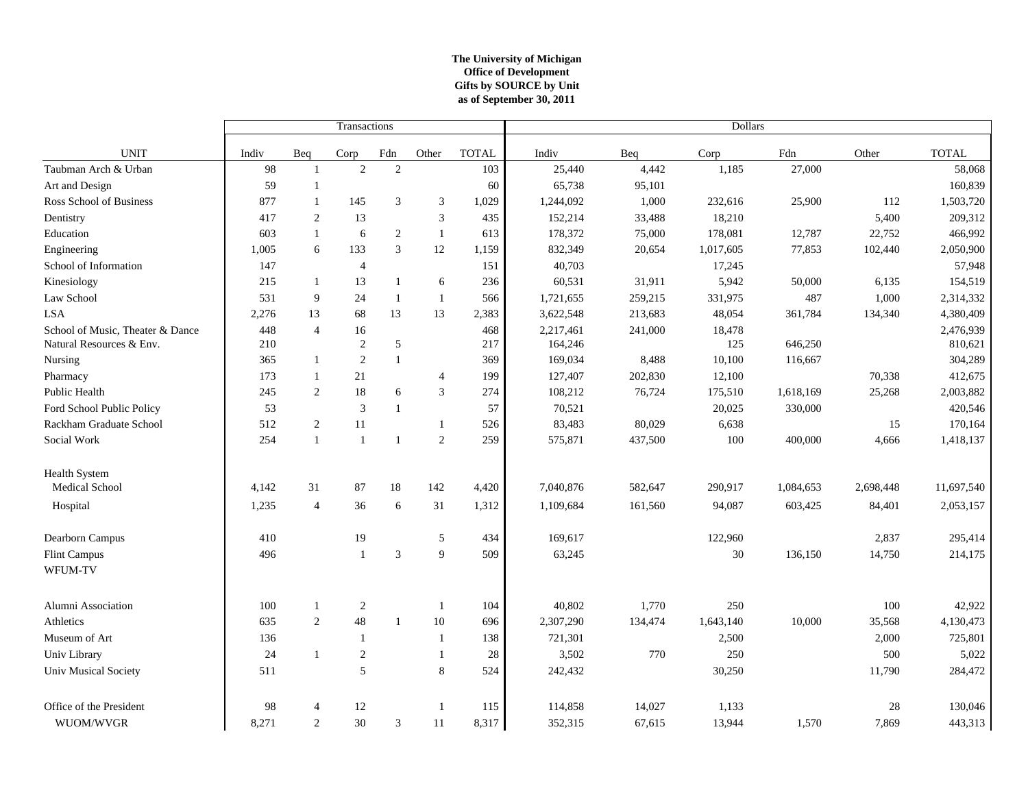### **The University of Michigan Office of Development as of September 30, 2011 Gifts by SOURCE by Unit**

|                                  |       |                | Transactions   |                |                |              | Dollars   |         |           |           |           |              |
|----------------------------------|-------|----------------|----------------|----------------|----------------|--------------|-----------|---------|-----------|-----------|-----------|--------------|
| <b>UNIT</b>                      | Indiv | Beq            | Corp           | Fdn            | Other          | <b>TOTAL</b> | Indiv     | Beq     | Corp      | Fdn       | Other     | <b>TOTAL</b> |
| Taubman Arch & Urban             | 98    | $\overline{1}$ | $\overline{2}$ | 2              |                | 103          | 25,440    | 4,442   | 1,185     | 27,000    |           | 58,068       |
| Art and Design                   | 59    | -1             |                |                |                | 60           | 65,738    | 95,101  |           |           |           | 160,839      |
| Ross School of Business          | 877   | $\overline{1}$ | 145            | 3              | 3              | 1,029        | 1,244,092 | 1,000   | 232,616   | 25,900    | 112       | 1,503,720    |
| Dentistry                        | 417   | $\mathfrak{2}$ | 13             |                | 3              | 435          | 152,214   | 33,488  | 18,210    |           | 5,400     | 209,312      |
| Education                        | 603   | $\mathbf{1}$   | 6              | 2              | $\mathbf{1}$   | 613          | 178,372   | 75,000  | 178,081   | 12,787    | 22,752    | 466,992      |
| Engineering                      | 1,005 | 6              | 133            | $\overline{3}$ | 12             | 1,159        | 832,349   | 20,654  | 1,017,605 | 77,853    | 102,440   | 2,050,900    |
| School of Information            | 147   |                | $\overline{4}$ |                |                | 151          | 40,703    |         | 17,245    |           |           | 57,948       |
| Kinesiology                      | 215   | $\mathbf{1}$   | 13             | $\mathbf{1}$   | 6              | 236          | 60,531    | 31,911  | 5,942     | 50,000    | 6,135     | 154,519      |
| Law School                       | 531   | $\overline{9}$ | 24             | $\mathbf{1}$   | $\mathbf{1}$   | 566          | 1,721,655 | 259,215 | 331,975   | 487       | 1,000     | 2,314,332    |
| <b>LSA</b>                       | 2,276 | 13             | 68             | 13             | 13             | 2,383        | 3,622,548 | 213,683 | 48,054    | 361,784   | 134,340   | 4,380,409    |
| School of Music, Theater & Dance | 448   | $\overline{4}$ | 16             |                |                | 468          | 2,217,461 | 241,000 | 18,478    |           |           | 2,476,939    |
| Natural Resources & Env.         | 210   |                | $\sqrt{2}$     | $\sqrt{5}$     |                | 217          | 164,246   |         | 125       | 646,250   |           | 810,621      |
| Nursing                          | 365   | $\mathbf{1}$   | $\mathfrak{2}$ | $\,1\,$        |                | 369          | 169,034   | 8,488   | 10,100    | 116,667   |           | 304,289      |
| Pharmacy                         | 173   | 1              | 21             |                | $\overline{4}$ | 199          | 127,407   | 202,830 | 12,100    |           | 70,338    | 412,675      |
| Public Health                    | 245   | 2              | 18             | 6              | 3              | 274          | 108,212   | 76,724  | 175,510   | 1,618,169 | 25,268    | 2,003,882    |
| Ford School Public Policy        | 53    |                | 3              | $\mathbf{1}$   |                | 57           | 70,521    |         | 20,025    | 330,000   |           | 420,546      |
| Rackham Graduate School          | 512   | $\overline{c}$ | 11             |                | 1              | 526          | 83,483    | 80,029  | 6,638     |           | 15        | 170,164      |
| Social Work                      | 254   | $\overline{1}$ | $\mathbf{1}$   | $\mathbf{1}$   | $\sqrt{2}$     | 259          | 575,871   | 437,500 | 100       | 400,000   | 4,666     | 1,418,137    |
| <b>Health System</b>             |       |                |                |                |                |              |           |         |           |           |           |              |
| Medical School                   | 4,142 | 31             | 87             | 18             | 142            | 4,420        | 7,040,876 | 582,647 | 290,917   | 1,084,653 | 2,698,448 | 11,697,540   |
| Hospital                         | 1,235 | $\overline{4}$ | 36             | 6              | 31             | 1,312        | 1,109,684 | 161,560 | 94,087    | 603,425   | 84,401    | 2,053,157    |
| Dearborn Campus                  | 410   |                | 19             |                | 5              | 434          | 169,617   |         | 122,960   |           | 2,837     | 295,414      |
| Flint Campus<br>WFUM-TV          | 496   |                | $\mathbf{1}$   | $\overline{3}$ | 9              | 509          | 63,245    |         | 30        | 136,150   | 14,750    | 214,175      |
|                                  |       |                |                |                |                |              |           |         |           |           |           |              |
| Alumni Association               | 100   | $\mathbf{1}$   | $\overline{c}$ |                | $\mathbf{1}$   | 104          | 40,802    | 1,770   | 250       |           | 100       | 42,922       |
| Athletics                        | 635   | 2              | 48             | $\mathbf{1}$   | 10             | 696          | 2,307,290 | 134,474 | 1,643,140 | 10,000    | 35,568    | 4,130,473    |
| Museum of Art                    | 136   |                | $\mathbf{1}$   |                | -1             | 138          | 721,301   |         | 2,500     |           | 2,000     | 725,801      |
| Univ Library                     | 24    | -1             | $\mathfrak{2}$ |                | 1              | 28           | 3,502     | 770     | 250       |           | 500       | 5,022        |
| Univ Musical Society             | 511   |                | 5              |                | 8              | 524          | 242,432   |         | 30,250    |           | 11,790    | 284,472      |
| Office of the President          | 98    | $\overline{4}$ | 12             |                | $\mathbf{1}$   | 115          | 114,858   | 14,027  | 1,133     |           | 28        | 130,046      |
| WUOM/WVGR                        | 8,271 | 2              | 30             | $\mathfrak z$  | 11             | 8,317        | 352,315   | 67,615  | 13,944    | 1,570     | 7,869     | 443,313      |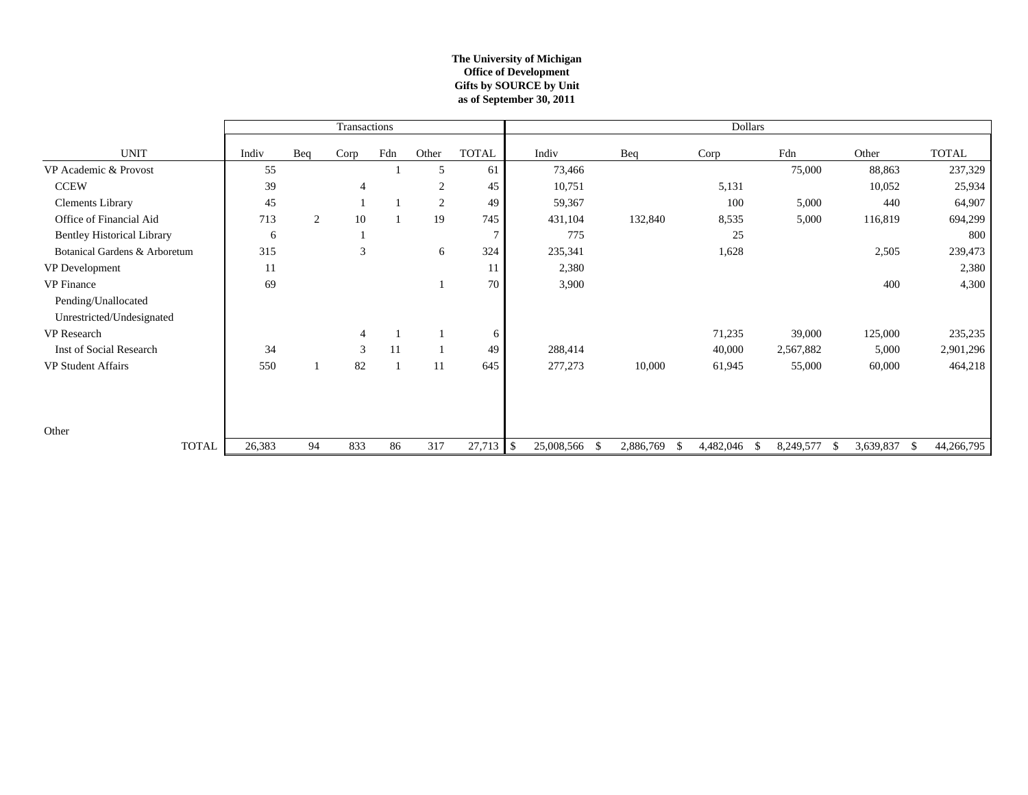### **The University of Michigan Office of Development as of September 30, 2011 Gifts by SOURCE by Unit**

|                                   |        |     | Transactions   |     |                |              |                                |           | <b>Dollars</b>          |                 |           |                    |
|-----------------------------------|--------|-----|----------------|-----|----------------|--------------|--------------------------------|-----------|-------------------------|-----------------|-----------|--------------------|
| <b>UNIT</b>                       | Indiv  | Beq | Corp           | Fdn | Other          | <b>TOTAL</b> | Indiv                          | Beq       | Corp                    | Fdn             | Other     | <b>TOTAL</b>       |
| VP Academic & Provost             | 55     |     |                |     | 5              | 61           | 73,466                         |           |                         | 75,000          | 88,863    | 237,329            |
| <b>CCEW</b>                       | 39     |     | $\overline{4}$ |     | $\overline{2}$ | 45           | 10,751                         |           | 5,131                   |                 | 10,052    | 25,934             |
| <b>Clements Library</b>           | 45     |     |                |     | $\overline{2}$ | 49           | 59,367                         |           | 100                     | 5,000           | 440       | 64,907             |
| Office of Financial Aid           | 713    | 2   | 10             |     | 19             | 745          | 431,104                        | 132,840   | 8,535                   | 5,000           | 116,819   | 694,299            |
| <b>Bentley Historical Library</b> | 6      |     |                |     |                |              | 775                            |           | 25                      |                 |           | 800                |
| Botanical Gardens & Arboretum     | 315    |     | 3              |     | 6              | 324          | 235,341                        |           | 1,628                   |                 | 2,505     | 239,473            |
| VP Development                    | 11     |     |                |     |                | 11           | 2,380                          |           |                         |                 |           | 2,380              |
| VP Finance                        | 69     |     |                |     |                | 70           | 3,900                          |           |                         |                 | 400       | 4,300              |
| Pending/Unallocated               |        |     |                |     |                |              |                                |           |                         |                 |           |                    |
| Unrestricted/Undesignated         |        |     |                |     |                |              |                                |           |                         |                 |           |                    |
| VP Research                       |        |     | $\overline{4}$ |     |                | 6            |                                |           | 71,235                  | 39,000          | 125,000   | 235,235            |
| Inst of Social Research           | 34     |     | 3              | 11  |                | 49           | 288,414                        |           | 40,000                  | 2,567,882       | 5,000     | 2,901,296          |
| <b>VP Student Affairs</b>         | 550    |     | 82             |     | 11             | 645          | 277,273                        | 10,000    | 61,945                  | 55,000          | 60,000    | 464,218            |
|                                   |        |     |                |     |                |              |                                |           |                         |                 |           |                    |
|                                   |        |     |                |     |                |              |                                |           |                         |                 |           |                    |
|                                   |        |     |                |     |                |              |                                |           |                         |                 |           |                    |
| Other                             |        |     |                |     |                |              |                                |           |                         |                 |           |                    |
| <b>TOTAL</b>                      | 26,383 | 94  | 833            | 86  | 317            | 27,713       | $\mathcal{S}$<br>25,008,566 \$ | 2,886,769 | 4,482,046<br>\$<br>- \$ | 8,249,577<br>-S | 3,639,837 | - \$<br>44,266,795 |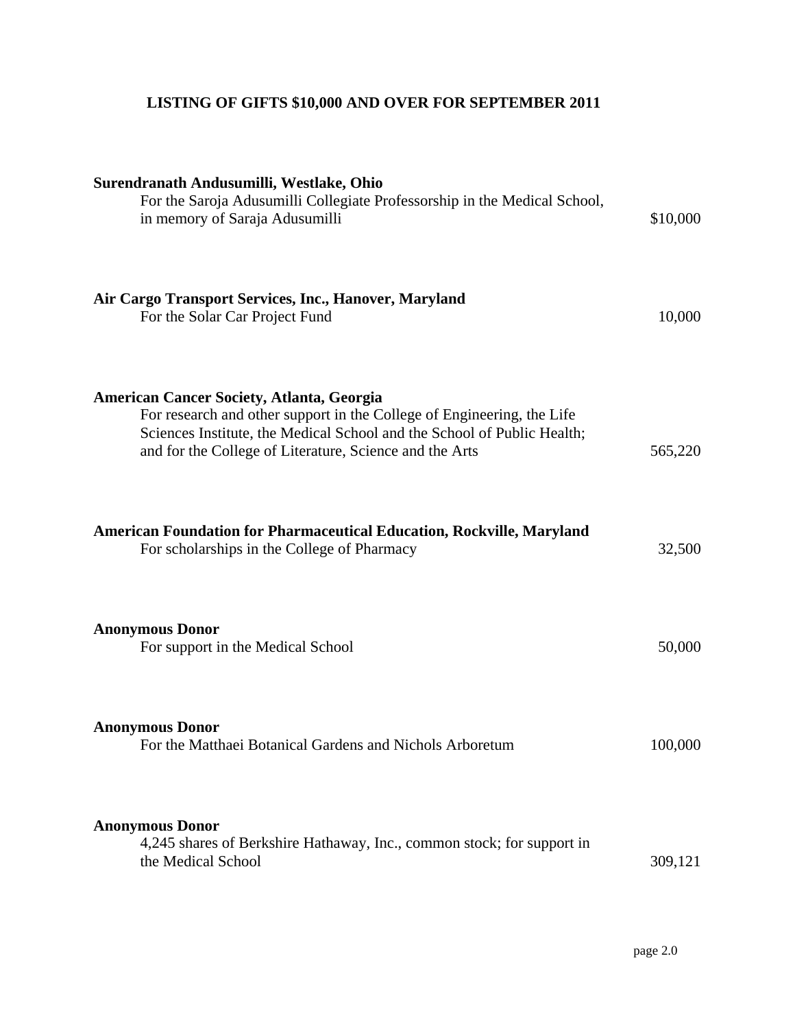# **LISTING OF GIFTS \$10,000 AND OVER FOR SEPTEMBER 2011**

| Surendranath Andusumilli, Westlake, Ohio<br>For the Saroja Adusumilli Collegiate Professorship in the Medical School,<br>in memory of Saraja Adusumilli                                                                                                          | \$10,000 |
|------------------------------------------------------------------------------------------------------------------------------------------------------------------------------------------------------------------------------------------------------------------|----------|
| Air Cargo Transport Services, Inc., Hanover, Maryland<br>For the Solar Car Project Fund                                                                                                                                                                          | 10,000   |
| <b>American Cancer Society, Atlanta, Georgia</b><br>For research and other support in the College of Engineering, the Life<br>Sciences Institute, the Medical School and the School of Public Health;<br>and for the College of Literature, Science and the Arts | 565,220  |
| <b>American Foundation for Pharmaceutical Education, Rockville, Maryland</b><br>For scholarships in the College of Pharmacy                                                                                                                                      | 32,500   |
| <b>Anonymous Donor</b><br>For support in the Medical School                                                                                                                                                                                                      | 50,000   |
| <b>Anonymous Donor</b><br>For the Matthaei Botanical Gardens and Nichols Arboretum                                                                                                                                                                               | 100,000  |
| <b>Anonymous Donor</b><br>4,245 shares of Berkshire Hathaway, Inc., common stock; for support in<br>the Medical School                                                                                                                                           | 309,121  |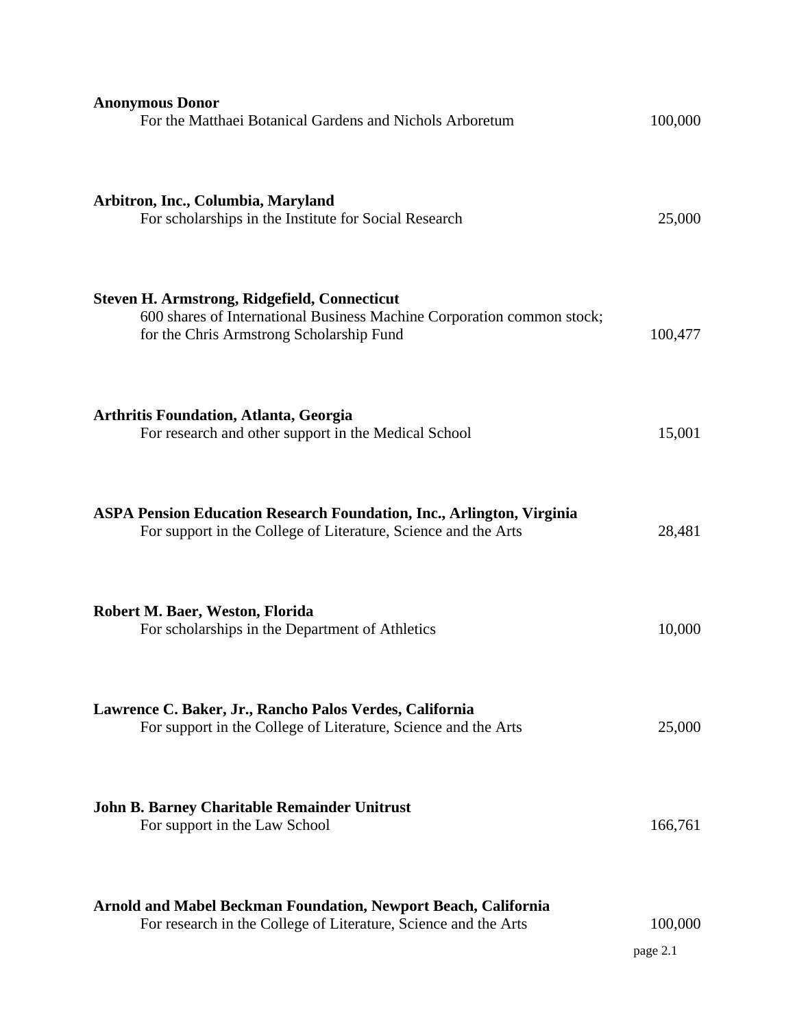| <b>Anonymous Donor</b><br>For the Matthaei Botanical Gardens and Nichols Arboretum                                                                                        | 100,000             |
|---------------------------------------------------------------------------------------------------------------------------------------------------------------------------|---------------------|
| Arbitron, Inc., Columbia, Maryland<br>For scholarships in the Institute for Social Research                                                                               | 25,000              |
| <b>Steven H. Armstrong, Ridgefield, Connecticut</b><br>600 shares of International Business Machine Corporation common stock;<br>for the Chris Armstrong Scholarship Fund | 100,477             |
| <b>Arthritis Foundation, Atlanta, Georgia</b><br>For research and other support in the Medical School                                                                     | 15,001              |
| <b>ASPA Pension Education Research Foundation, Inc., Arlington, Virginia</b><br>For support in the College of Literature, Science and the Arts                            | 28,481              |
| Robert M. Baer, Weston, Florida<br>For scholarships in the Department of Athletics                                                                                        | 10,000              |
| Lawrence C. Baker, Jr., Rancho Palos Verdes, California<br>For support in the College of Literature, Science and the Arts                                                 | 25,000              |
| John B. Barney Charitable Remainder Unitrust<br>For support in the Law School                                                                                             | 166,761             |
| <b>Arnold and Mabel Beckman Foundation, Newport Beach, California</b><br>For research in the College of Literature, Science and the Arts                                  | 100,000<br>page 2.1 |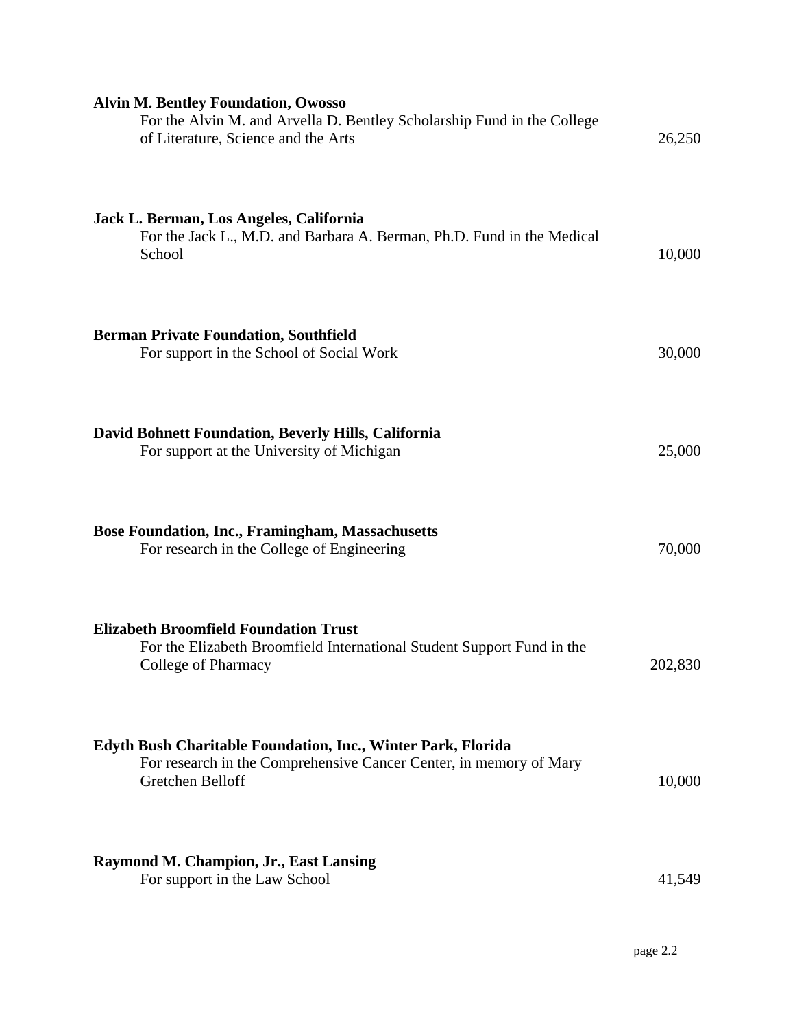| <b>Alvin M. Bentley Foundation, Owosso</b><br>For the Alvin M. and Arvella D. Bentley Scholarship Fund in the College<br>of Literature, Science and the Arts  | 26,250  |
|---------------------------------------------------------------------------------------------------------------------------------------------------------------|---------|
| Jack L. Berman, Los Angeles, California<br>For the Jack L., M.D. and Barbara A. Berman, Ph.D. Fund in the Medical<br>School                                   | 10,000  |
| <b>Berman Private Foundation, Southfield</b><br>For support in the School of Social Work                                                                      | 30,000  |
| David Bohnett Foundation, Beverly Hills, California<br>For support at the University of Michigan                                                              | 25,000  |
| <b>Bose Foundation, Inc., Framingham, Massachusetts</b><br>For research in the College of Engineering                                                         | 70,000  |
| <b>Elizabeth Broomfield Foundation Trust</b><br>For the Elizabeth Broomfield International Student Support Fund in the<br>College of Pharmacy                 | 202,830 |
| <b>Edyth Bush Charitable Foundation, Inc., Winter Park, Florida</b><br>For research in the Comprehensive Cancer Center, in memory of Mary<br>Gretchen Belloff | 10,000  |
| <b>Raymond M. Champion, Jr., East Lansing</b><br>For support in the Law School                                                                                | 41,549  |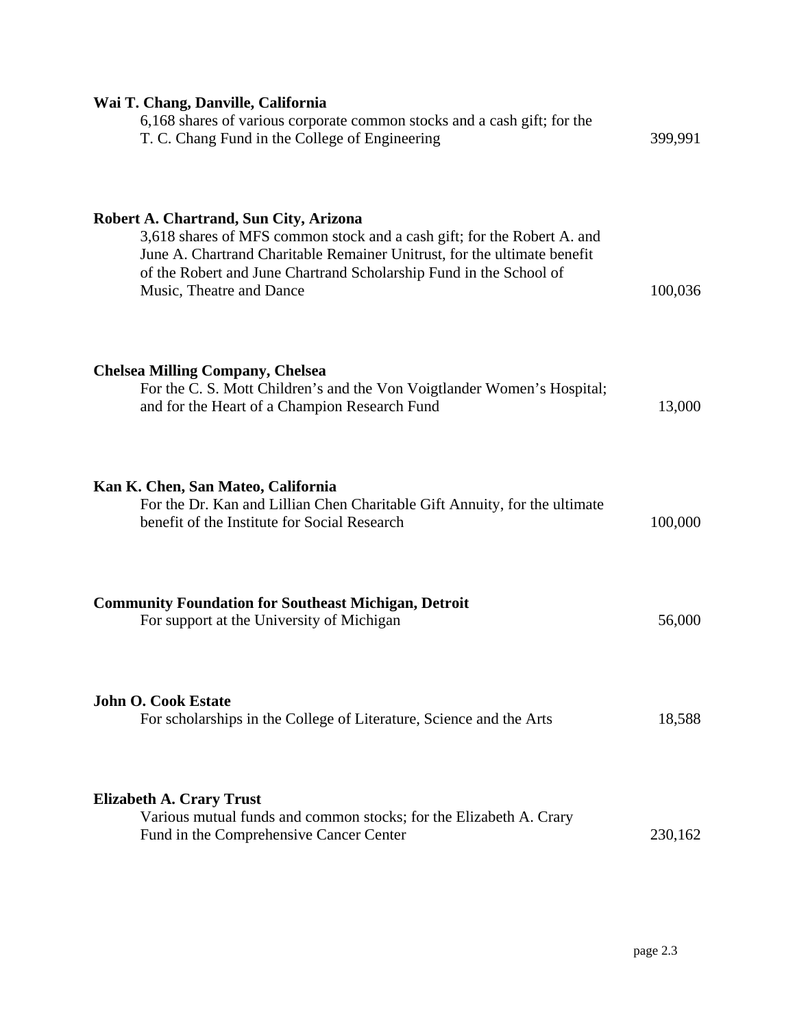| Wai T. Chang, Danville, California<br>6,168 shares of various corporate common stocks and a cash gift; for the<br>T. C. Chang Fund in the College of Engineering                                                                                                                                | 399,991 |
|-------------------------------------------------------------------------------------------------------------------------------------------------------------------------------------------------------------------------------------------------------------------------------------------------|---------|
| Robert A. Chartrand, Sun City, Arizona<br>3,618 shares of MFS common stock and a cash gift; for the Robert A. and<br>June A. Chartrand Charitable Remainer Unitrust, for the ultimate benefit<br>of the Robert and June Chartrand Scholarship Fund in the School of<br>Music, Theatre and Dance | 100,036 |
| <b>Chelsea Milling Company, Chelsea</b><br>For the C. S. Mott Children's and the Von Voigtlander Women's Hospital;<br>and for the Heart of a Champion Research Fund                                                                                                                             | 13,000  |
| Kan K. Chen, San Mateo, California<br>For the Dr. Kan and Lillian Chen Charitable Gift Annuity, for the ultimate<br>benefit of the Institute for Social Research                                                                                                                                | 100,000 |
| <b>Community Foundation for Southeast Michigan, Detroit</b><br>For support at the University of Michigan                                                                                                                                                                                        | 56,000  |
| <b>John O. Cook Estate</b><br>For scholarships in the College of Literature, Science and the Arts                                                                                                                                                                                               | 18,588  |
| <b>Elizabeth A. Crary Trust</b><br>Various mutual funds and common stocks; for the Elizabeth A. Crary<br>Fund in the Comprehensive Cancer Center                                                                                                                                                | 230,162 |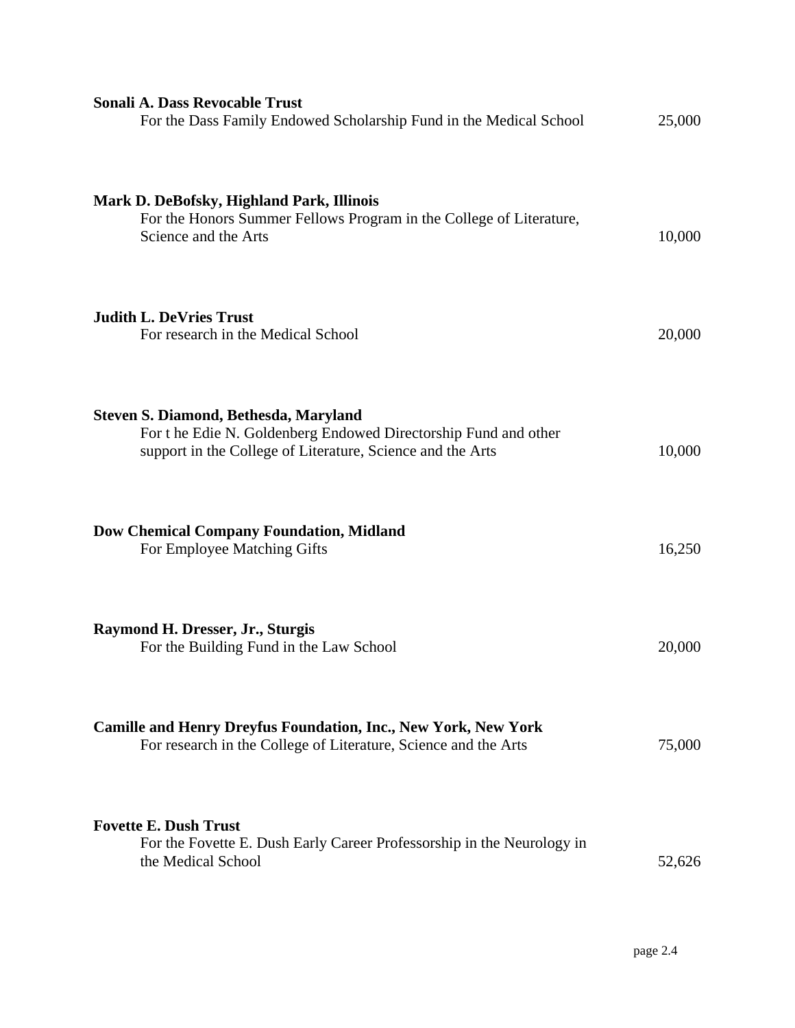| <b>Sonali A. Dass Revocable Trust</b><br>For the Dass Family Endowed Scholarship Fund in the Medical School                                                           | 25,000 |
|-----------------------------------------------------------------------------------------------------------------------------------------------------------------------|--------|
| Mark D. DeBofsky, Highland Park, Illinois<br>For the Honors Summer Fellows Program in the College of Literature,<br>Science and the Arts                              | 10,000 |
| <b>Judith L. DeVries Trust</b><br>For research in the Medical School                                                                                                  | 20,000 |
| Steven S. Diamond, Bethesda, Maryland<br>For the Edie N. Goldenberg Endowed Directorship Fund and other<br>support in the College of Literature, Science and the Arts | 10,000 |
| <b>Dow Chemical Company Foundation, Midland</b><br>For Employee Matching Gifts                                                                                        | 16,250 |
| Raymond H. Dresser, Jr., Sturgis<br>For the Building Fund in the Law School                                                                                           | 20,000 |
| <b>Camille and Henry Dreyfus Foundation, Inc., New York, New York</b><br>For research in the College of Literature, Science and the Arts                              | 75,000 |
| <b>Fovette E. Dush Trust</b><br>For the Fovette E. Dush Early Career Professorship in the Neurology in<br>the Medical School                                          | 52,626 |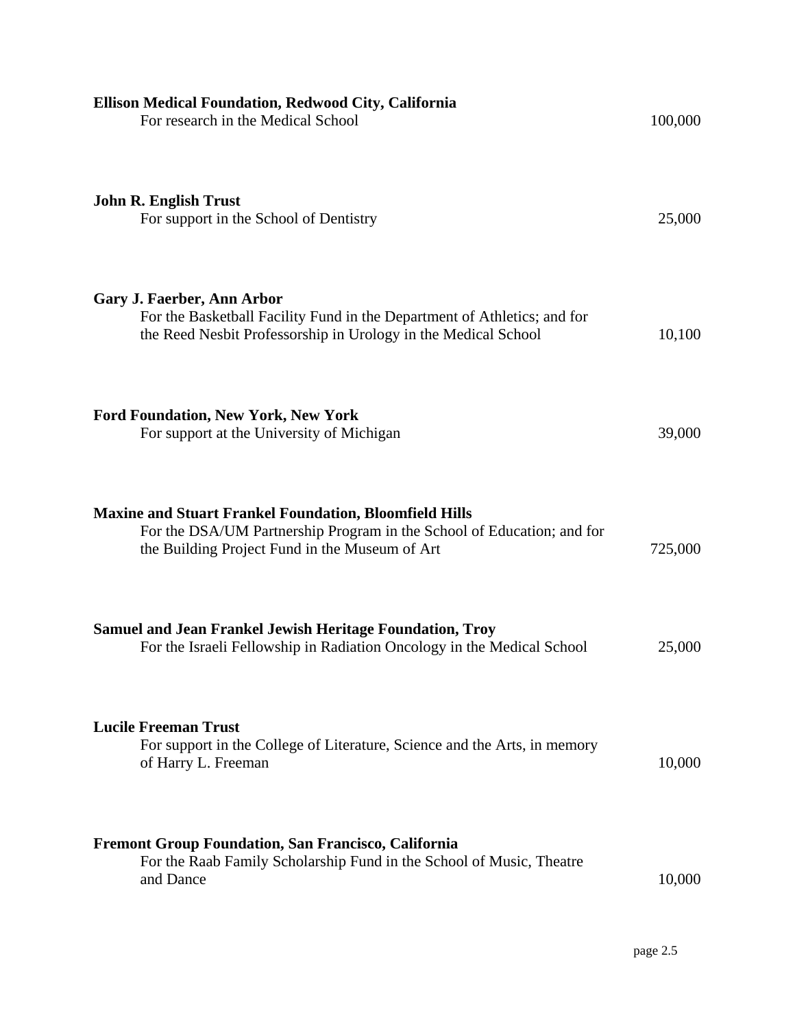| Ellison Medical Foundation, Redwood City, California<br>For research in the Medical School                                                                                                | 100,000 |
|-------------------------------------------------------------------------------------------------------------------------------------------------------------------------------------------|---------|
| <b>John R. English Trust</b><br>For support in the School of Dentistry                                                                                                                    | 25,000  |
| Gary J. Faerber, Ann Arbor<br>For the Basketball Facility Fund in the Department of Athletics; and for<br>the Reed Nesbit Professorship in Urology in the Medical School                  | 10,100  |
| <b>Ford Foundation, New York, New York</b><br>For support at the University of Michigan                                                                                                   | 39,000  |
| <b>Maxine and Stuart Frankel Foundation, Bloomfield Hills</b><br>For the DSA/UM Partnership Program in the School of Education; and for<br>the Building Project Fund in the Museum of Art | 725,000 |
| <b>Samuel and Jean Frankel Jewish Heritage Foundation, Troy</b><br>For the Israeli Fellowship in Radiation Oncology in the Medical School                                                 | 25,000  |
| <b>Lucile Freeman Trust</b><br>For support in the College of Literature, Science and the Arts, in memory<br>of Harry L. Freeman                                                           | 10,000  |
| <b>Fremont Group Foundation, San Francisco, California</b><br>For the Raab Family Scholarship Fund in the School of Music, Theatre<br>and Dance                                           | 10,000  |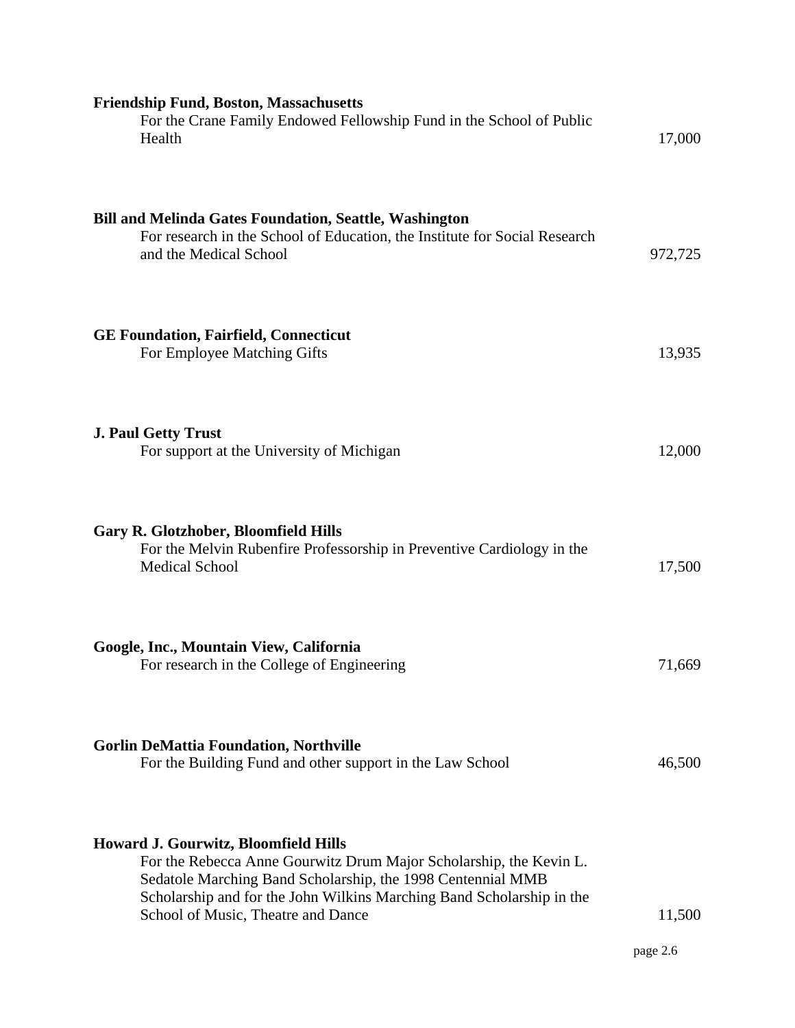| <b>Friendship Fund, Boston, Massachusetts</b><br>For the Crane Family Endowed Fellowship Fund in the School of Public<br>Health                                                                                                                                                                 | 17,000             |
|-------------------------------------------------------------------------------------------------------------------------------------------------------------------------------------------------------------------------------------------------------------------------------------------------|--------------------|
| <b>Bill and Melinda Gates Foundation, Seattle, Washington</b><br>For research in the School of Education, the Institute for Social Research<br>and the Medical School                                                                                                                           | 972,725            |
| <b>GE Foundation, Fairfield, Connecticut</b><br>For Employee Matching Gifts                                                                                                                                                                                                                     | 13,935             |
| <b>J. Paul Getty Trust</b><br>For support at the University of Michigan                                                                                                                                                                                                                         | 12,000             |
| <b>Gary R. Glotzhober, Bloomfield Hills</b><br>For the Melvin Rubenfire Professorship in Preventive Cardiology in the<br><b>Medical School</b>                                                                                                                                                  | 17,500             |
| Google, Inc., Mountain View, California<br>For research in the College of Engineering                                                                                                                                                                                                           | 71,669             |
| <b>Gorlin DeMattia Foundation, Northville</b><br>For the Building Fund and other support in the Law School                                                                                                                                                                                      | 46,500             |
| <b>Howard J. Gourwitz, Bloomfield Hills</b><br>For the Rebecca Anne Gourwitz Drum Major Scholarship, the Kevin L.<br>Sedatole Marching Band Scholarship, the 1998 Centennial MMB<br>Scholarship and for the John Wilkins Marching Band Scholarship in the<br>School of Music, Theatre and Dance | 11,500<br>page 2.6 |
|                                                                                                                                                                                                                                                                                                 |                    |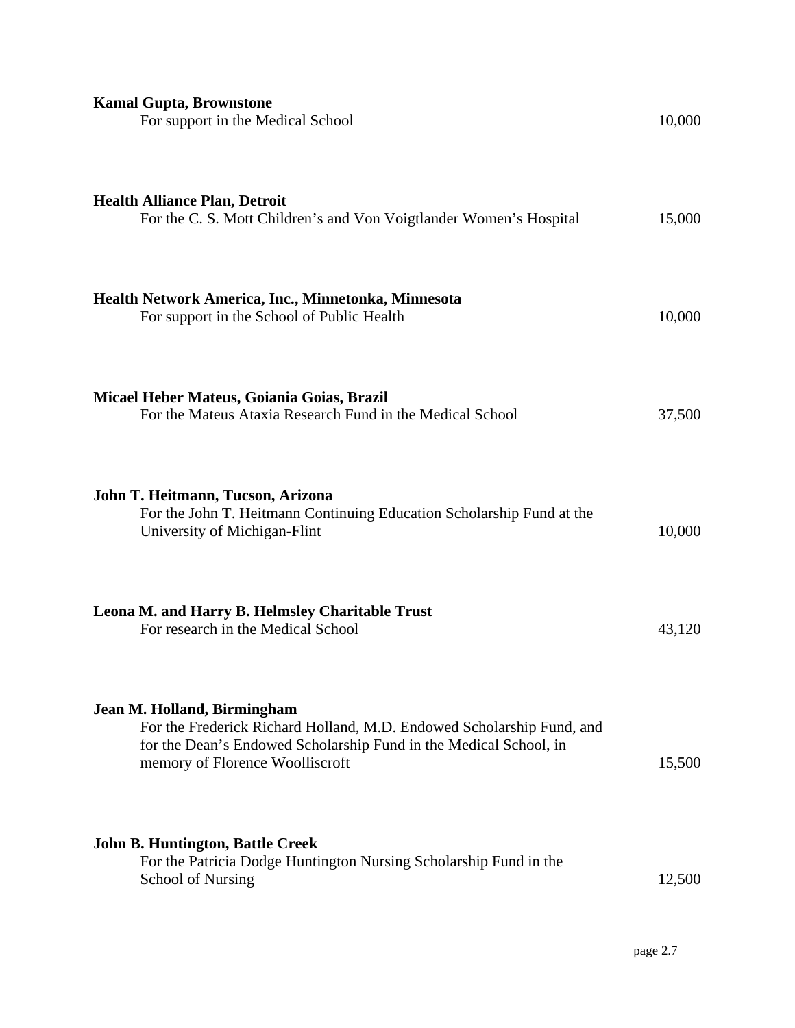| <b>Kamal Gupta, Brownstone</b><br>For support in the Medical School                                                                                                                                          | 10,000 |
|--------------------------------------------------------------------------------------------------------------------------------------------------------------------------------------------------------------|--------|
| <b>Health Alliance Plan, Detroit</b><br>For the C. S. Mott Children's and Von Voigtlander Women's Hospital                                                                                                   | 15,000 |
| Health Network America, Inc., Minnetonka, Minnesota<br>For support in the School of Public Health                                                                                                            | 10,000 |
| Micael Heber Mateus, Goiania Goias, Brazil<br>For the Mateus Ataxia Research Fund in the Medical School                                                                                                      | 37,500 |
| John T. Heitmann, Tucson, Arizona<br>For the John T. Heitmann Continuing Education Scholarship Fund at the<br>University of Michigan-Flint                                                                   | 10,000 |
| Leona M. and Harry B. Helmsley Charitable Trust<br>For research in the Medical School                                                                                                                        | 43,120 |
| Jean M. Holland, Birmingham<br>For the Frederick Richard Holland, M.D. Endowed Scholarship Fund, and<br>for the Dean's Endowed Scholarship Fund in the Medical School, in<br>memory of Florence Woolliscroft | 15,500 |
| <b>John B. Huntington, Battle Creek</b><br>For the Patricia Dodge Huntington Nursing Scholarship Fund in the<br><b>School of Nursing</b>                                                                     | 12,500 |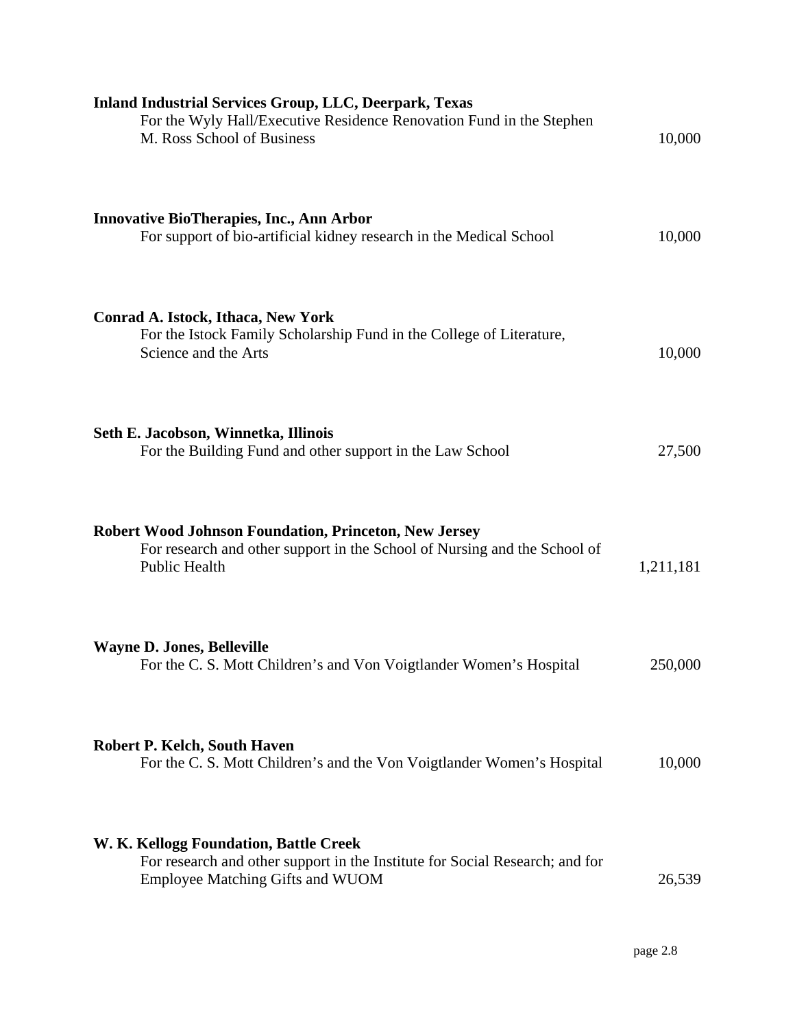| <b>Inland Industrial Services Group, LLC, Deerpark, Texas</b><br>For the Wyly Hall/Executive Residence Renovation Fund in the Stephen<br>M. Ross School of Business | 10,000    |
|---------------------------------------------------------------------------------------------------------------------------------------------------------------------|-----------|
| <b>Innovative BioTherapies, Inc., Ann Arbor</b><br>For support of bio-artificial kidney research in the Medical School                                              | 10,000    |
| Conrad A. Istock, Ithaca, New York<br>For the Istock Family Scholarship Fund in the College of Literature,<br>Science and the Arts                                  | 10,000    |
| Seth E. Jacobson, Winnetka, Illinois<br>For the Building Fund and other support in the Law School                                                                   | 27,500    |
| <b>Robert Wood Johnson Foundation, Princeton, New Jersey</b><br>For research and other support in the School of Nursing and the School of<br><b>Public Health</b>   | 1,211,181 |
| <b>Wayne D. Jones, Belleville</b><br>For the C. S. Mott Children's and Von Voigtlander Women's Hospital                                                             | 250,000   |
| <b>Robert P. Kelch, South Haven</b><br>For the C. S. Mott Children's and the Von Voigtlander Women's Hospital                                                       | 10,000    |
| W. K. Kellogg Foundation, Battle Creek<br>For research and other support in the Institute for Social Research; and for<br>Employee Matching Gifts and WUOM          | 26,539    |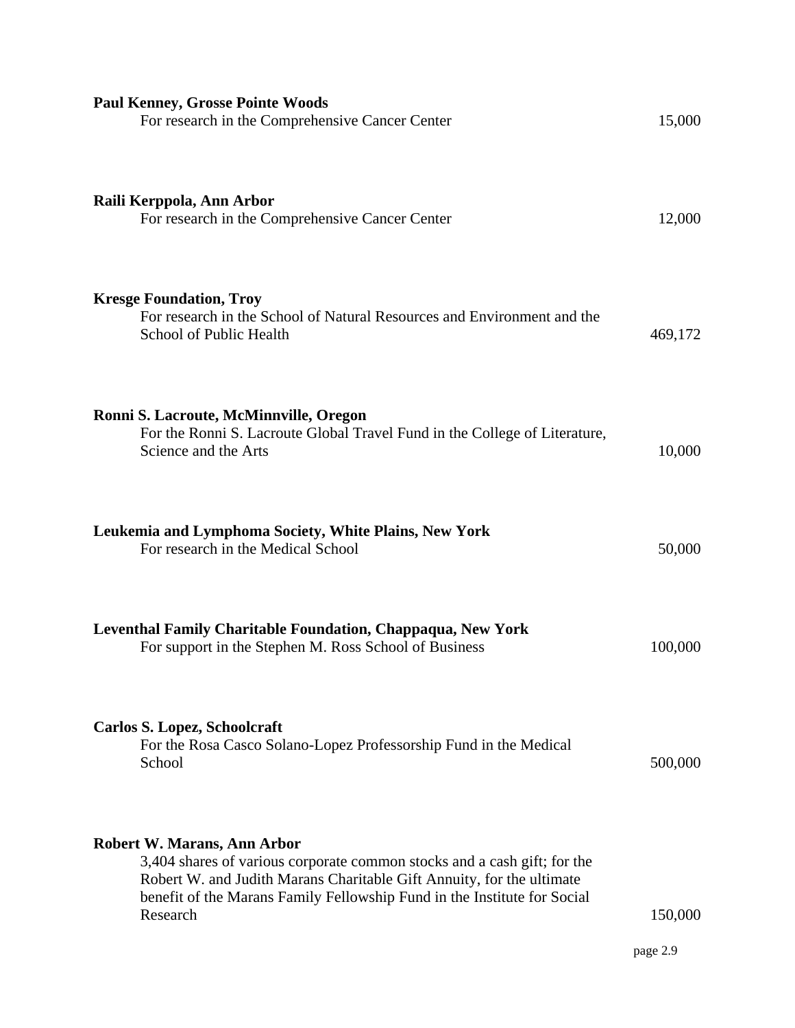| <b>Paul Kenney, Grosse Pointe Woods</b><br>For research in the Comprehensive Cancer Center                                                                                                                                                                                      | 15,000              |
|---------------------------------------------------------------------------------------------------------------------------------------------------------------------------------------------------------------------------------------------------------------------------------|---------------------|
| Raili Kerppola, Ann Arbor<br>For research in the Comprehensive Cancer Center                                                                                                                                                                                                    | 12,000              |
| <b>Kresge Foundation, Troy</b><br>For research in the School of Natural Resources and Environment and the<br>School of Public Health                                                                                                                                            | 469,172             |
| Ronni S. Lacroute, McMinnville, Oregon<br>For the Ronni S. Lacroute Global Travel Fund in the College of Literature,<br>Science and the Arts                                                                                                                                    | 10,000              |
| Leukemia and Lymphoma Society, White Plains, New York<br>For research in the Medical School                                                                                                                                                                                     | 50,000              |
| Leventhal Family Charitable Foundation, Chappaqua, New York<br>For support in the Stephen M. Ross School of Business                                                                                                                                                            | 100,000             |
| <b>Carlos S. Lopez, Schoolcraft</b><br>For the Rosa Casco Solano-Lopez Professorship Fund in the Medical<br>School                                                                                                                                                              | 500,000             |
| <b>Robert W. Marans, Ann Arbor</b><br>3,404 shares of various corporate common stocks and a cash gift; for the<br>Robert W. and Judith Marans Charitable Gift Annuity, for the ultimate<br>benefit of the Marans Family Fellowship Fund in the Institute for Social<br>Research | 150,000<br>page 2.9 |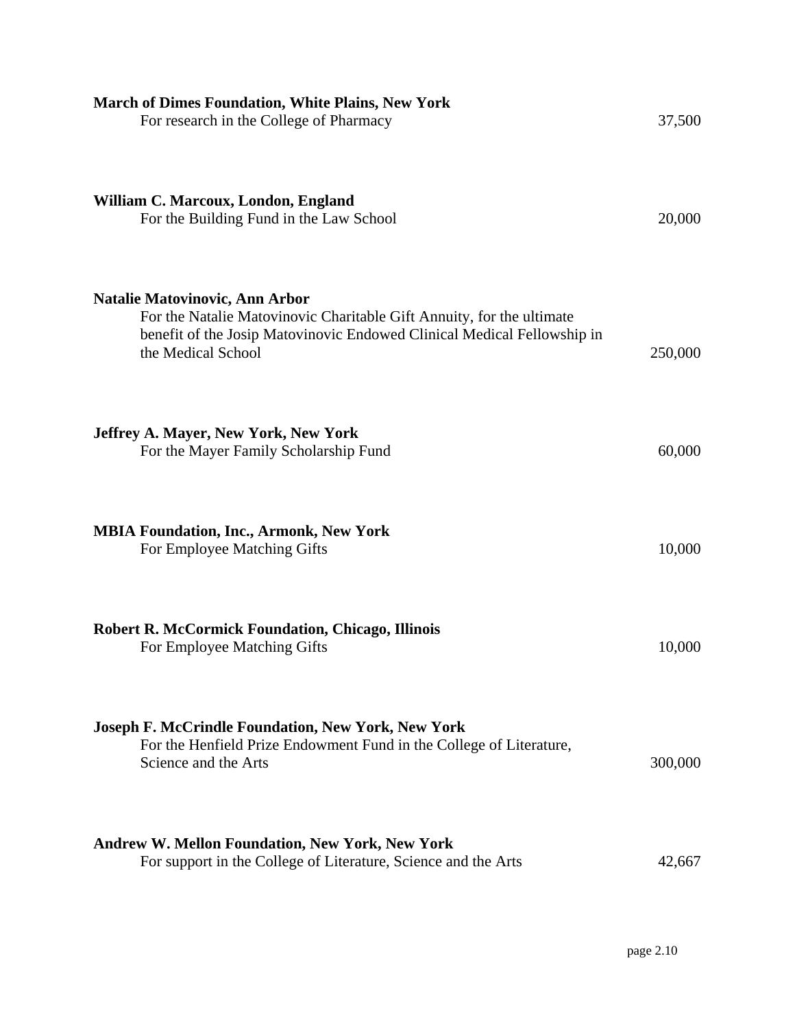| <b>March of Dimes Foundation, White Plains, New York</b><br>For research in the College of Pharmacy                                                                                                             | 37,500  |
|-----------------------------------------------------------------------------------------------------------------------------------------------------------------------------------------------------------------|---------|
| William C. Marcoux, London, England<br>For the Building Fund in the Law School                                                                                                                                  | 20,000  |
| <b>Natalie Matovinovic, Ann Arbor</b><br>For the Natalie Matovinovic Charitable Gift Annuity, for the ultimate<br>benefit of the Josip Matovinovic Endowed Clinical Medical Fellowship in<br>the Medical School | 250,000 |
| <b>Jeffrey A. Mayer, New York, New York</b><br>For the Mayer Family Scholarship Fund                                                                                                                            | 60,000  |
| <b>MBIA Foundation, Inc., Armonk, New York</b><br>For Employee Matching Gifts                                                                                                                                   | 10,000  |
| <b>Robert R. McCormick Foundation, Chicago, Illinois</b><br>For Employee Matching Gifts                                                                                                                         | 10,000  |
| <b>Joseph F. McCrindle Foundation, New York, New York</b><br>For the Henfield Prize Endowment Fund in the College of Literature,<br>Science and the Arts                                                        | 300,000 |
| <b>Andrew W. Mellon Foundation, New York, New York</b><br>For support in the College of Literature, Science and the Arts                                                                                        | 42,667  |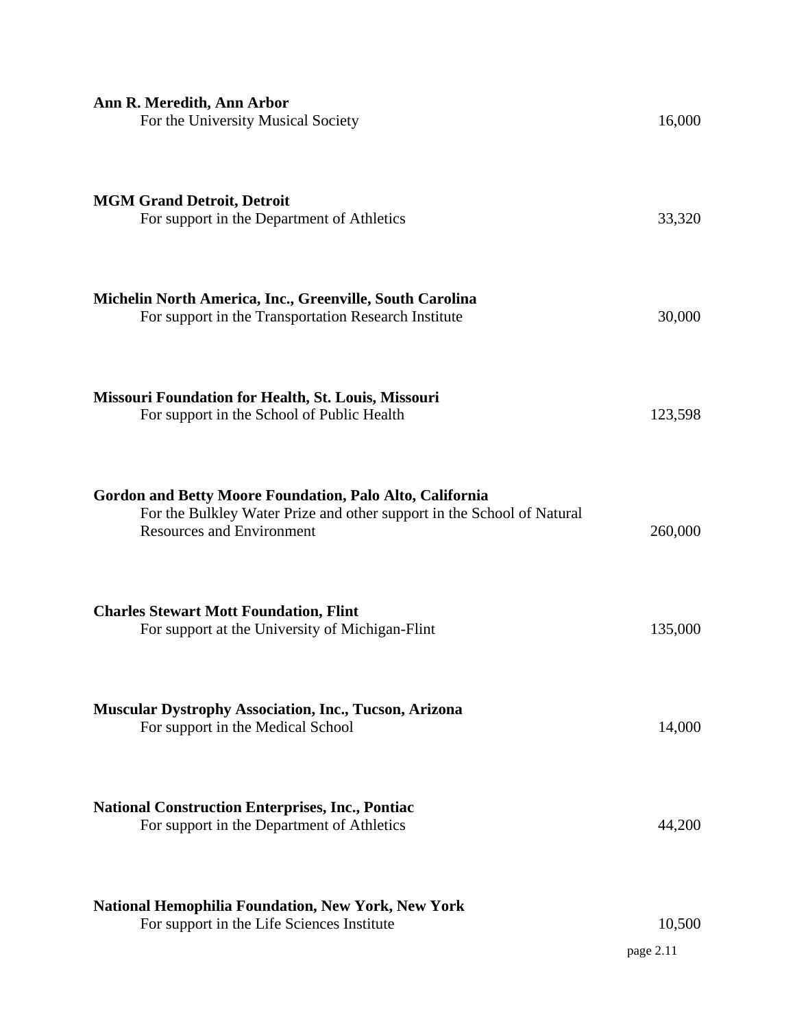| Ann R. Meredith, Ann Arbor<br>For the University Musical Society                                                                                                       | 16,000              |
|------------------------------------------------------------------------------------------------------------------------------------------------------------------------|---------------------|
| <b>MGM Grand Detroit, Detroit</b><br>For support in the Department of Athletics                                                                                        | 33,320              |
| Michelin North America, Inc., Greenville, South Carolina<br>For support in the Transportation Research Institute                                                       | 30,000              |
| <b>Missouri Foundation for Health, St. Louis, Missouri</b><br>For support in the School of Public Health                                                               | 123,598             |
| Gordon and Betty Moore Foundation, Palo Alto, California<br>For the Bulkley Water Prize and other support in the School of Natural<br><b>Resources and Environment</b> | 260,000             |
| <b>Charles Stewart Mott Foundation, Flint</b><br>For support at the University of Michigan-Flint                                                                       | 135,000             |
| <b>Muscular Dystrophy Association, Inc., Tucson, Arizona</b><br>For support in the Medical School                                                                      | 14,000              |
| <b>National Construction Enterprises, Inc., Pontiac</b><br>For support in the Department of Athletics                                                                  | 44,200              |
| <b>National Hemophilia Foundation, New York, New York</b><br>For support in the Life Sciences Institute                                                                | 10,500<br>page 2.11 |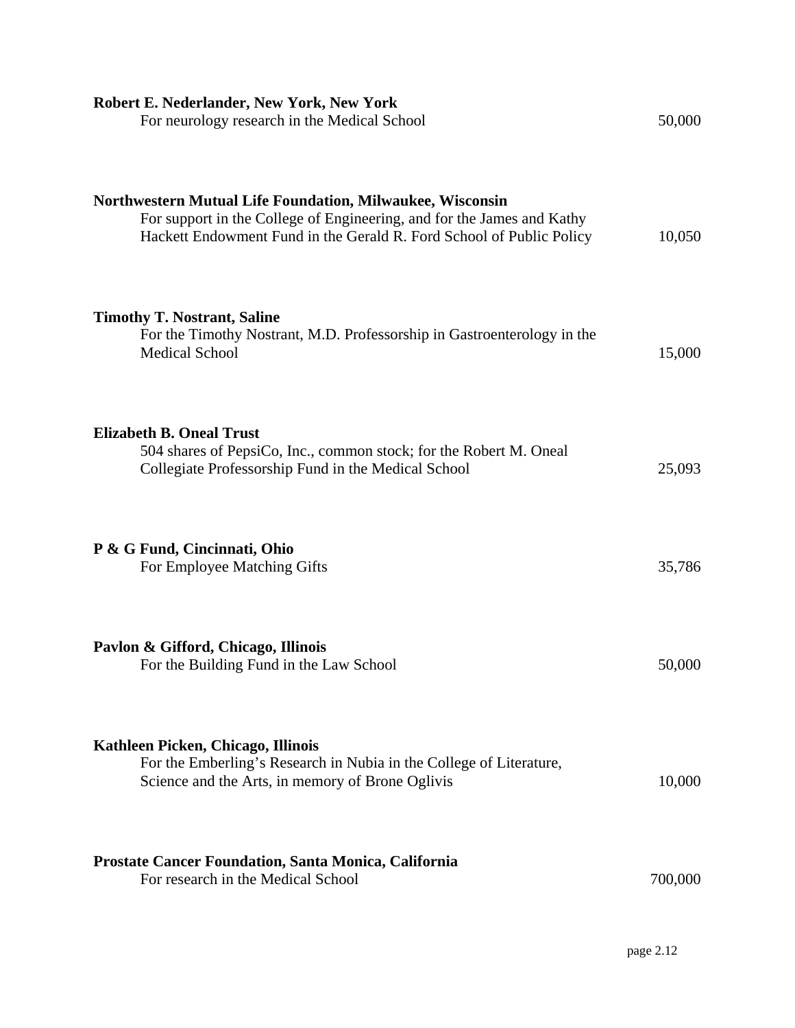| Robert E. Nederlander, New York, New York<br>For neurology research in the Medical School                                                                                                                          | 50,000  |
|--------------------------------------------------------------------------------------------------------------------------------------------------------------------------------------------------------------------|---------|
| <b>Northwestern Mutual Life Foundation, Milwaukee, Wisconsin</b><br>For support in the College of Engineering, and for the James and Kathy<br>Hackett Endowment Fund in the Gerald R. Ford School of Public Policy | 10,050  |
| <b>Timothy T. Nostrant, Saline</b><br>For the Timothy Nostrant, M.D. Professorship in Gastroenterology in the<br><b>Medical School</b>                                                                             | 15,000  |
| <b>Elizabeth B. Oneal Trust</b><br>504 shares of PepsiCo, Inc., common stock; for the Robert M. Oneal<br>Collegiate Professorship Fund in the Medical School                                                       | 25,093  |
| P & G Fund, Cincinnati, Ohio<br>For Employee Matching Gifts                                                                                                                                                        | 35,786  |
| Pavlon & Gifford, Chicago, Illinois<br>For the Building Fund in the Law School                                                                                                                                     | 50,000  |
| Kathleen Picken, Chicago, Illinois<br>For the Emberling's Research in Nubia in the College of Literature,<br>Science and the Arts, in memory of Brone Oglivis                                                      | 10,000  |
| Prostate Cancer Foundation, Santa Monica, California<br>For research in the Medical School                                                                                                                         | 700,000 |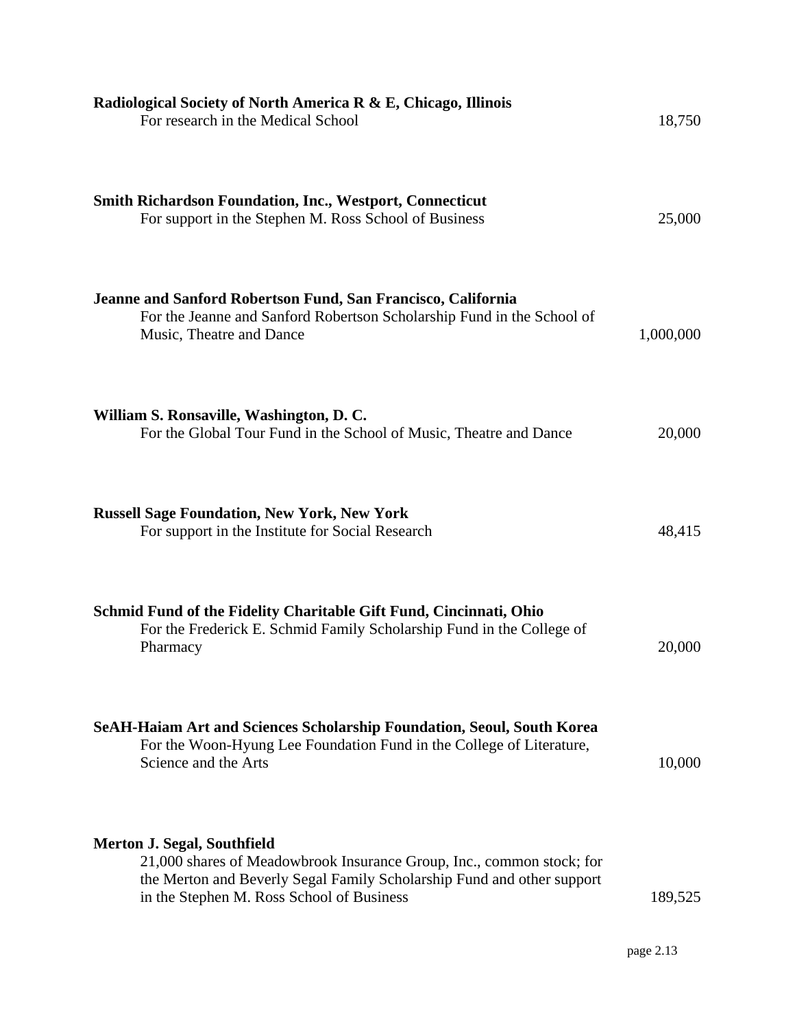| Radiological Society of North America R & E, Chicago, Illinois<br>For research in the Medical School                                                                                                                               | 18,750    |
|------------------------------------------------------------------------------------------------------------------------------------------------------------------------------------------------------------------------------------|-----------|
| <b>Smith Richardson Foundation, Inc., Westport, Connecticut</b><br>For support in the Stephen M. Ross School of Business                                                                                                           | 25,000    |
| Jeanne and Sanford Robertson Fund, San Francisco, California<br>For the Jeanne and Sanford Robertson Scholarship Fund in the School of<br>Music, Theatre and Dance                                                                 | 1,000,000 |
| William S. Ronsaville, Washington, D. C.<br>For the Global Tour Fund in the School of Music, Theatre and Dance                                                                                                                     | 20,000    |
| <b>Russell Sage Foundation, New York, New York</b><br>For support in the Institute for Social Research                                                                                                                             | 48,415    |
| Schmid Fund of the Fidelity Charitable Gift Fund, Cincinnati, Ohio<br>For the Frederick E. Schmid Family Scholarship Fund in the College of<br>Pharmacy                                                                            | 20,000    |
| SeAH-Haiam Art and Sciences Scholarship Foundation, Seoul, South Korea<br>For the Woon-Hyung Lee Foundation Fund in the College of Literature,<br>Science and the Arts                                                             | 10,000    |
| <b>Merton J. Segal, Southfield</b><br>21,000 shares of Meadowbrook Insurance Group, Inc., common stock; for<br>the Merton and Beverly Segal Family Scholarship Fund and other support<br>in the Stephen M. Ross School of Business | 189,525   |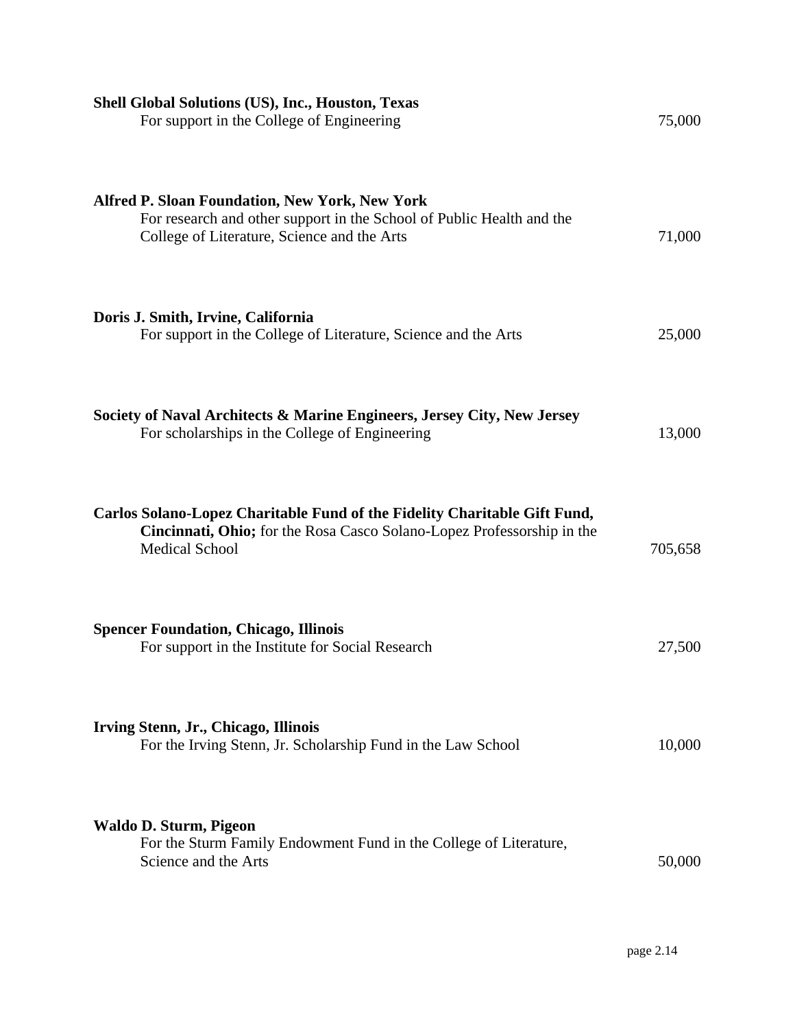| <b>Shell Global Solutions (US), Inc., Houston, Texas</b><br>For support in the College of Engineering                                                                         | 75,000  |
|-------------------------------------------------------------------------------------------------------------------------------------------------------------------------------|---------|
| <b>Alfred P. Sloan Foundation, New York, New York</b><br>For research and other support in the School of Public Health and the<br>College of Literature, Science and the Arts | 71,000  |
| Doris J. Smith, Irvine, California<br>For support in the College of Literature, Science and the Arts                                                                          | 25,000  |
| Society of Naval Architects & Marine Engineers, Jersey City, New Jersey<br>For scholarships in the College of Engineering                                                     | 13,000  |
| Carlos Solano-Lopez Charitable Fund of the Fidelity Charitable Gift Fund,<br>Cincinnati, Ohio; for the Rosa Casco Solano-Lopez Professorship in the<br><b>Medical School</b>  | 705,658 |
| <b>Spencer Foundation, Chicago, Illinois</b><br>For support in the Institute for Social Research                                                                              | 27,500  |
| Irving Stenn, Jr., Chicago, Illinois<br>For the Irving Stenn, Jr. Scholarship Fund in the Law School                                                                          | 10,000  |
| <b>Waldo D. Sturm, Pigeon</b><br>For the Sturm Family Endowment Fund in the College of Literature,<br>Science and the Arts                                                    | 50,000  |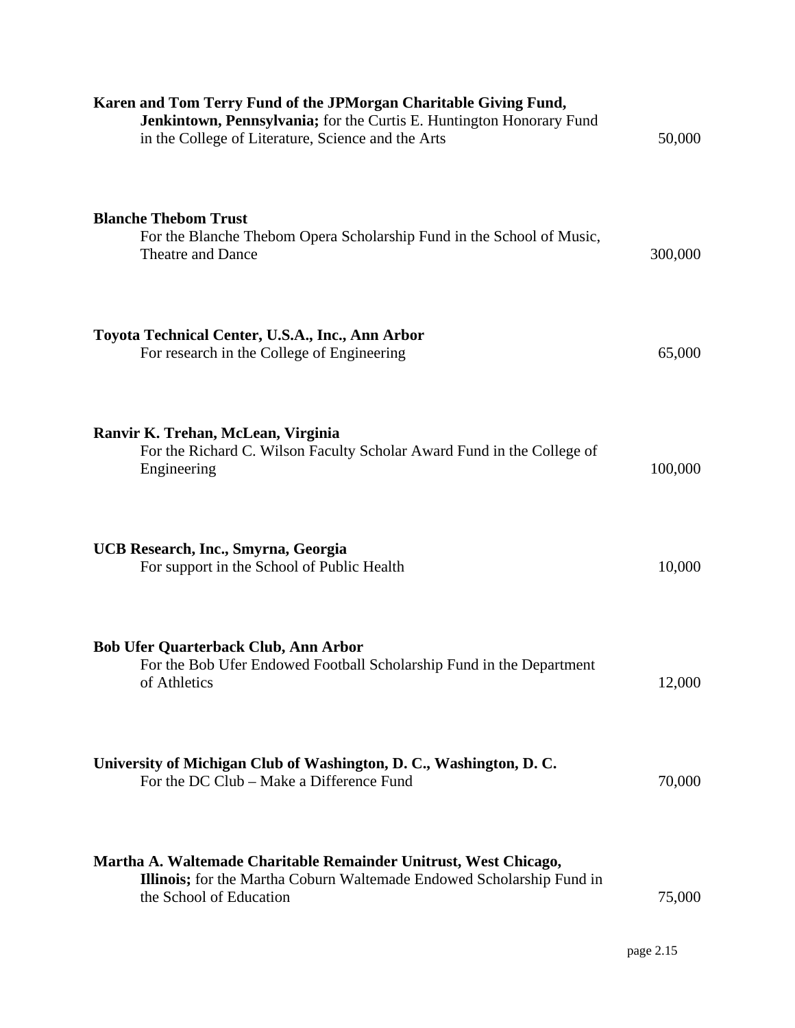| Karen and Tom Terry Fund of the JPMorgan Charitable Giving Fund,<br>Jenkintown, Pennsylvania; for the Curtis E. Huntington Honorary Fund<br>in the College of Literature, Science and the Arts | 50,000  |
|------------------------------------------------------------------------------------------------------------------------------------------------------------------------------------------------|---------|
| <b>Blanche Thebom Trust</b><br>For the Blanche Thebom Opera Scholarship Fund in the School of Music,<br>Theatre and Dance                                                                      | 300,000 |
| Toyota Technical Center, U.S.A., Inc., Ann Arbor<br>For research in the College of Engineering                                                                                                 | 65,000  |
| Ranvir K. Trehan, McLean, Virginia<br>For the Richard C. Wilson Faculty Scholar Award Fund in the College of<br>Engineering                                                                    | 100,000 |
| UCB Research, Inc., Smyrna, Georgia<br>For support in the School of Public Health                                                                                                              | 10,000  |
| <b>Bob Ufer Quarterback Club, Ann Arbor</b><br>For the Bob Ufer Endowed Football Scholarship Fund in the Department<br>of Athletics                                                            | 12,000  |
| University of Michigan Club of Washington, D. C., Washington, D. C.<br>For the DC Club – Make a Difference Fund                                                                                | 70,000  |
| Martha A. Waltemade Charitable Remainder Unitrust, West Chicago,<br><b>Illinois;</b> for the Martha Coburn Waltemade Endowed Scholarship Fund in<br>the School of Education                    | 75,000  |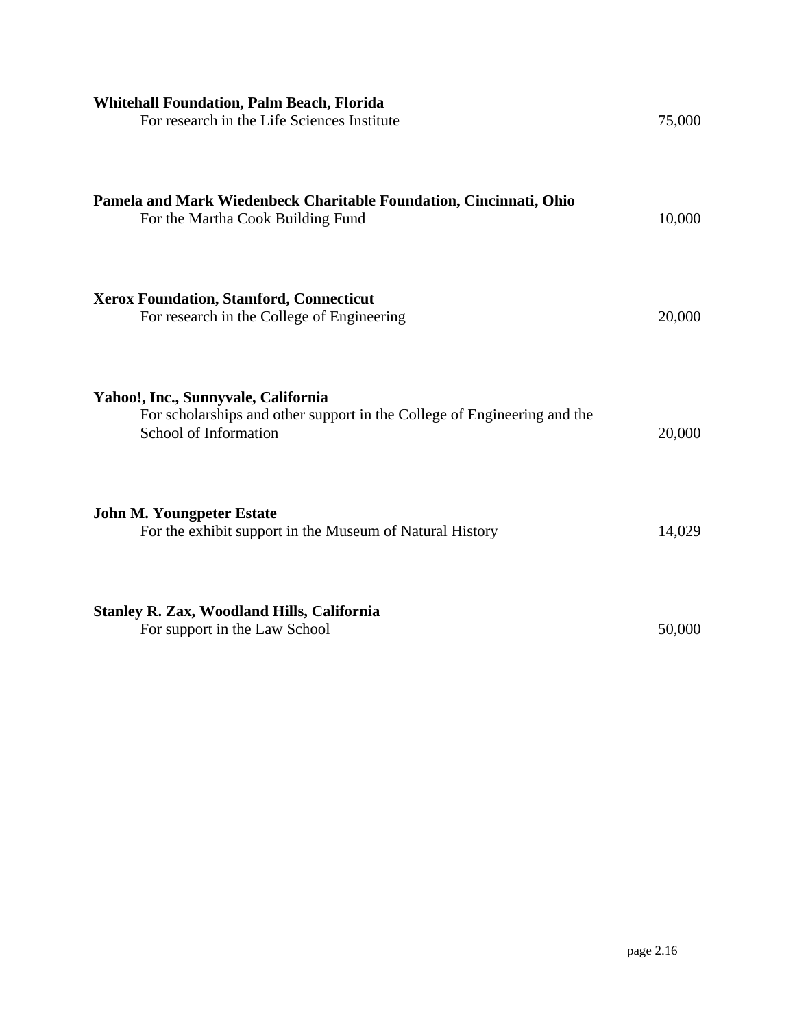| <b>Whitehall Foundation, Palm Beach, Florida</b><br>For research in the Life Sciences Institute                                          | 75,000 |
|------------------------------------------------------------------------------------------------------------------------------------------|--------|
| Pamela and Mark Wiedenbeck Charitable Foundation, Cincinnati, Ohio<br>For the Martha Cook Building Fund                                  | 10,000 |
| <b>Xerox Foundation, Stamford, Connecticut</b><br>For research in the College of Engineering                                             | 20,000 |
| Yahoo!, Inc., Sunnyvale, California<br>For scholarships and other support in the College of Engineering and the<br>School of Information | 20,000 |
| <b>John M. Youngpeter Estate</b><br>For the exhibit support in the Museum of Natural History                                             | 14,029 |
| <b>Stanley R. Zax, Woodland Hills, California</b><br>For support in the Law School                                                       | 50,000 |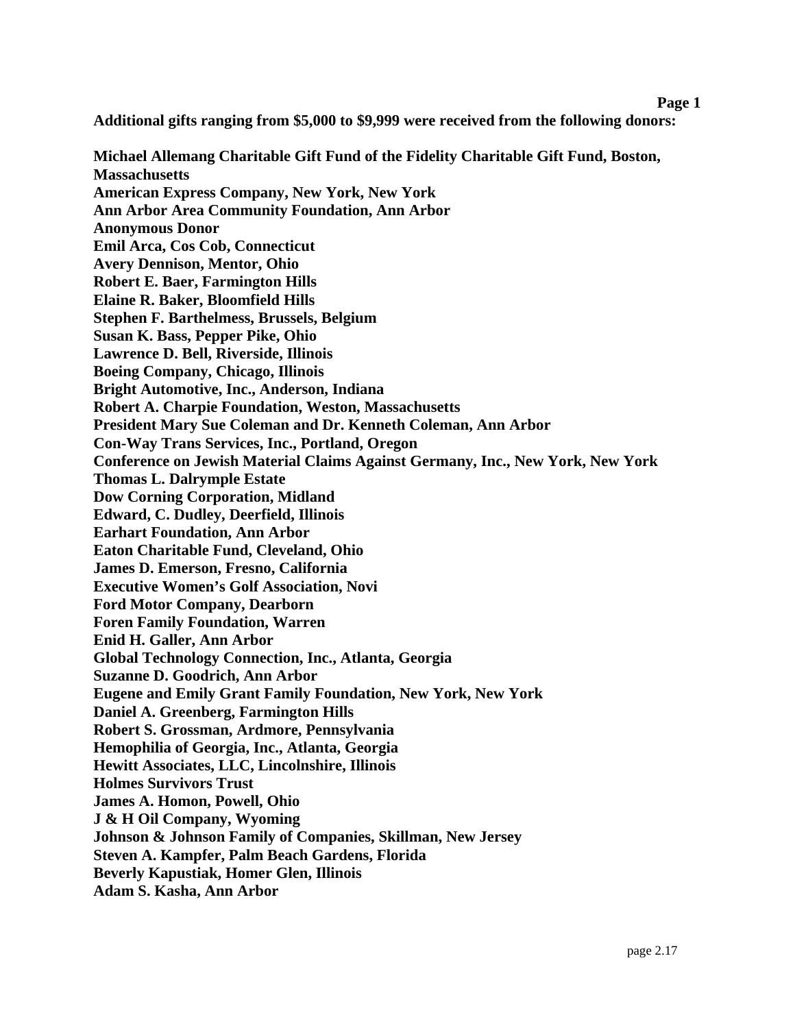**Additional gifts ranging from \$5,000 to \$9,999 were received from the following donors:** 

**Michael Allemang Charitable Gift Fund of the Fidelity Charitable Gift Fund, Boston, Massachusetts American Express Company, New York, New York Ann Arbor Area Community Foundation, Ann Arbor Anonymous Donor Emil Arca, Cos Cob, Connecticut Avery Dennison, Mentor, Ohio Robert E. Baer, Farmington Hills Elaine R. Baker, Bloomfield Hills Stephen F. Barthelmess, Brussels, Belgium Susan K. Bass, Pepper Pike, Ohio Lawrence D. Bell, Riverside, Illinois Boeing Company, Chicago, Illinois Bright Automotive, Inc., Anderson, Indiana Robert A. Charpie Foundation, Weston, Massachusetts President Mary Sue Coleman and Dr. Kenneth Coleman, Ann Arbor Con-Way Trans Services, Inc., Portland, Oregon Conference on Jewish Material Claims Against Germany, Inc., New York, New York Thomas L. Dalrymple Estate Dow Corning Corporation, Midland Edward, C. Dudley, Deerfield, Illinois Earhart Foundation, Ann Arbor Eaton Charitable Fund, Cleveland, Ohio James D. Emerson, Fresno, California Executive Women's Golf Association, Novi Ford Motor Company, Dearborn Foren Family Foundation, Warren Enid H. Galler, Ann Arbor Global Technology Connection, Inc., Atlanta, Georgia Suzanne D. Goodrich, Ann Arbor Eugene and Emily Grant Family Foundation, New York, New York Daniel A. Greenberg, Farmington Hills Robert S. Grossman, Ardmore, Pennsylvania Hemophilia of Georgia, Inc., Atlanta, Georgia Hewitt Associates, LLC, Lincolnshire, Illinois Holmes Survivors Trust James A. Homon, Powell, Ohio J & H Oil Company, Wyoming Johnson & Johnson Family of Companies, Skillman, New Jersey Steven A. Kampfer, Palm Beach Gardens, Florida Beverly Kapustiak, Homer Glen, Illinois Adam S. Kasha, Ann Arbor**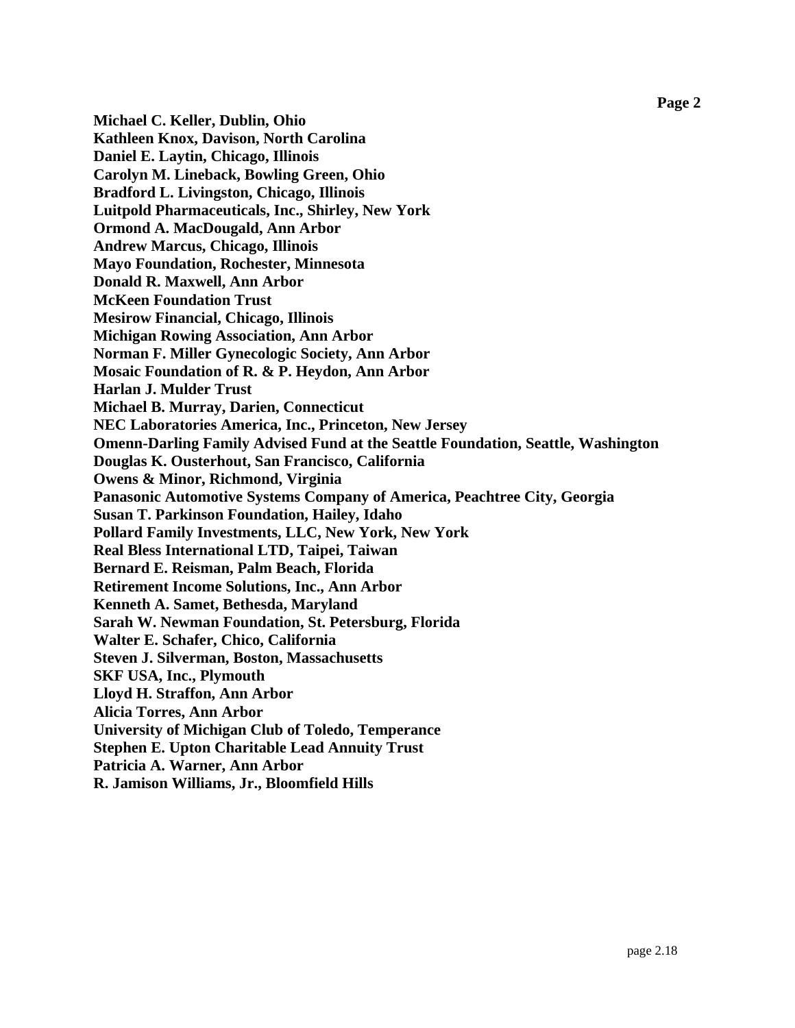**Michael C. Keller, Dublin, Ohio Kathleen Knox, Davison, North Carolina Daniel E. Laytin, Chicago, Illinois Carolyn M. Lineback, Bowling Green, Ohio Bradford L. Livingston, Chicago, Illinois Luitpold Pharmaceuticals, Inc., Shirley, New York Ormond A. MacDougald, Ann Arbor Andrew Marcus, Chicago, Illinois Mayo Foundation, Rochester, Minnesota Donald R. Maxwell, Ann Arbor McKeen Foundation Trust Mesirow Financial, Chicago, Illinois Michigan Rowing Association, Ann Arbor Norman F. Miller Gynecologic Society, Ann Arbor Mosaic Foundation of R. & P. Heydon, Ann Arbor Harlan J. Mulder Trust Michael B. Murray, Darien, Connecticut NEC Laboratories America, Inc., Princeton, New Jersey Omenn-Darling Family Advised Fund at the Seattle Foundation, Seattle, Washington Douglas K. Ousterhout, San Francisco, California Owens & Minor, Richmond, Virginia Panasonic Automotive Systems Company of America, Peachtree City, Georgia Susan T. Parkinson Foundation, Hailey, Idaho Pollard Family Investments, LLC, New York, New York Real Bless International LTD, Taipei, Taiwan Bernard E. Reisman, Palm Beach, Florida Retirement Income Solutions, Inc., Ann Arbor Kenneth A. Samet, Bethesda, Maryland Sarah W. Newman Foundation, St. Petersburg, Florida Walter E. Schafer, Chico, California Steven J. Silverman, Boston, Massachusetts SKF USA, Inc., Plymouth Lloyd H. Straffon, Ann Arbor Alicia Torres, Ann Arbor University of Michigan Club of Toledo, Temperance Stephen E. Upton Charitable Lead Annuity Trust Patricia A. Warner, Ann Arbor R. Jamison Williams, Jr., Bloomfield Hills**